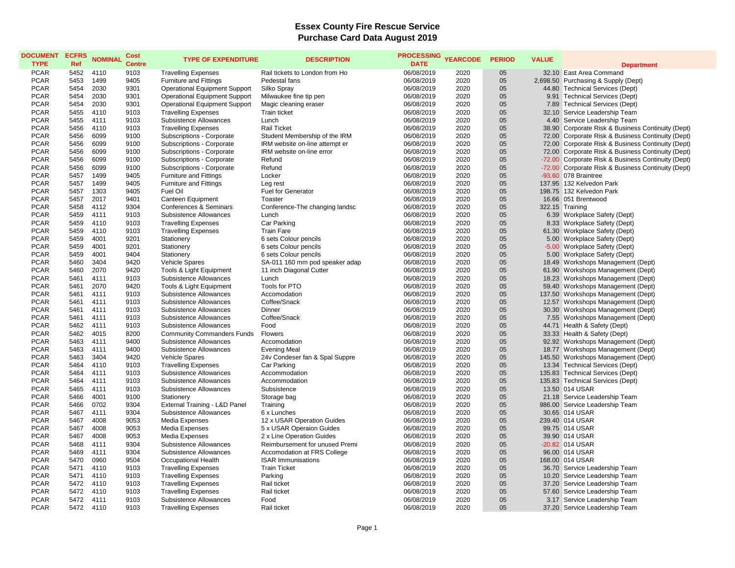## **Essex County Fire Rescue Service Purchase Card Data August 2019**

| <b>PCAR</b><br>5452<br>9103<br><b>Travelling Expenses</b><br>Rail tickets to London from Ho<br>06/08/2019<br>32.10 East Area Command<br>4110<br>2020<br>05<br><b>PCAR</b><br>5453<br>1499<br>9405<br><b>Furniture and Fittings</b><br>Pedestal fans<br>06/08/2019<br>2020<br>05<br>2,698.50 Purchasing & Supply (Dept)<br><b>PCAR</b><br>5454<br>2030<br>9301<br>05<br><b>Operational Equipment Support</b><br>Silko Spray<br>06/08/2019<br>2020<br>44.80 Technical Services (Dept)<br><b>PCAR</b><br>5454<br>2030<br>9301<br><b>Operational Equipment Support</b><br>06/08/2019<br>2020<br>05<br>9.91 Technical Services (Dept)<br>Milwaukee fine tip pen<br>2030<br>05<br><b>PCAR</b><br>5454<br>9301<br><b>Operational Equipment Support</b><br>2020<br>7.89 Technical Services (Dept)<br>Magic cleaning eraser<br>06/08/2019<br><b>PCAR</b><br>05<br>5455<br>4110<br>9103<br><b>Travelling Expenses</b><br>Train ticket<br>06/08/2019<br>2020<br>32.10 Service Leadership Team<br><b>PCAR</b><br>5455<br>05<br>4111<br>9103<br>Subsistence Allowances<br>Lunch<br>06/08/2019<br>2020<br>4.40 Service Leadership Team<br>05<br><b>PCAR</b><br>5456<br>4110<br>9103<br><b>Travelling Expenses</b><br>38.90 Corporate Risk & Business Continuity (Dept)<br><b>Rail Ticket</b><br>06/08/2019<br>2020<br><b>PCAR</b><br>5456<br>6099<br>9100<br>Subscriptions - Corporate<br>Student Membership of the IRM<br>06/08/2019<br>2020<br>05<br>72.00 Corporate Risk & Business Continuity (Dept)<br><b>PCAR</b><br>6099<br>05<br>5456<br>9100<br>Subscriptions - Corporate<br>IRM website on-line attempt er<br>06/08/2019<br>2020<br>72.00 Corporate Risk & Business Continuity (Dept)<br><b>PCAR</b><br>05<br>5456<br>6099<br>9100<br>Subscriptions - Corporate<br>IRM website on-line error<br>06/08/2019<br>2020<br>72.00 Corporate Risk & Business Continuity (Dept)<br><b>PCAR</b><br>5456<br>6099<br>9100<br>Refund<br>2020<br>05<br>-72.00 Corporate Risk & Business Continuity (Dept)<br>Subscriptions - Corporate<br>06/08/2019<br><b>PCAR</b><br>6099<br>9100<br>05<br>5456<br>Subscriptions - Corporate<br>Refund<br>06/08/2019<br>2020<br>-72.00 Corporate Risk & Business Continuity (Dept)<br><b>PCAR</b><br>1499<br>9405<br>05<br>5457<br><b>Furniture and Fittings</b><br>Locker<br>06/08/2019<br>2020<br>$-93.60$ 078 Braintree<br><b>PCAR</b><br>5457<br>9405<br>05<br>1499<br><b>Furniture and Fittings</b><br>06/08/2019<br>2020<br>137.95 132 Kelvedon Park<br>Leg rest<br>05<br><b>PCAR</b><br>5457<br>1303<br>Fuel Oil<br>9405<br><b>Fuel for Generator</b><br>06/08/2019<br>2020<br>198.75 132 Kelvedon Park<br><b>PCAR</b><br>5457<br>2017<br>9401<br>Canteen Equipment<br>06/08/2019<br>2020<br>05<br>16.66 051 Brentwood<br>Toaster<br><b>PCAR</b><br>5458<br>4112<br>9304<br>Conferences & Seminars<br>Conference-The changing landsc<br>06/08/2019<br>2020<br>05<br>322.15 Training<br><b>PCAR</b><br>5459<br>4111<br>9103<br>05<br>Subsistence Allowances<br>Lunch<br>06/08/2019<br>2020<br>6.39 Workplace Safety (Dept)<br><b>PCAR</b><br>5459<br>4110<br>9103<br><b>Travelling Expenses</b><br>06/08/2019<br>2020<br>05<br>8.33 Workplace Safety (Dept)<br>Car Parking<br><b>PCAR</b><br>05<br>5459<br>4110<br>9103<br><b>Travelling Expenses</b><br><b>Train Fare</b><br>06/08/2019<br>2020<br>61.30 Workplace Safety (Dept)<br><b>PCAR</b><br>4001<br>9201<br>05<br>5459<br>Stationery<br>6 sets Colour pencils<br>06/08/2019<br>2020<br>5.00 Workplace Safety (Dept)<br><b>PCAR</b><br>5459<br>4001<br>9201<br>05<br>Stationery<br>6 sets Colour pencils<br>2020<br>-5.00 Workplace Safety (Dept)<br>06/08/2019<br>05<br><b>PCAR</b><br>5459<br>4001<br>9404<br>5.00 Workplace Safety (Dept)<br>Stationery<br>6 sets Colour pencils<br>06/08/2019<br>2020<br>05<br><b>PCAR</b><br>5460<br>3404<br>9420<br>18.49 Workshops Management (Dept)<br>Vehicle Spares<br>SA-011 160 mm pod speaker adap<br>06/08/2019<br>2020<br>05<br><b>PCAR</b><br>5460<br>2070<br>9420<br>Tools & Light Equipment<br>11 inch Diagonal Cutter<br>06/08/2019<br>2020<br>61.90 Workshops Management (Dept)<br><b>PCAR</b><br>9103<br>05<br>18.23 Workshops Management (Dept)<br>5461<br>4111<br>Subsistence Allowances<br>Lunch<br>06/08/2019<br>2020<br><b>PCAR</b><br>5461<br>2070<br>9420<br>Tools for PTO<br>06/08/2019<br>2020<br>05<br>59.40 Workshops Management (Dept)<br>Tools & Light Equipment<br><b>PCAR</b><br>5461<br>4111<br>9103<br>Accomodation<br>06/08/2019<br>2020<br>05<br>137.50 Workshops Management (Dept)<br>Subsistence Allowances<br><b>PCAR</b><br>4111<br>9103<br>2020<br>05<br>5461<br>Subsistence Allowances<br>Coffee/Snack<br>06/08/2019<br>12.57 Workshops Management (Dept)<br><b>PCAR</b><br>9103<br>2020<br>05<br>30.30 Workshops Management (Dept)<br>5461<br>4111<br>Subsistence Allowances<br>Dinner<br>06/08/2019<br>05<br><b>PCAR</b><br>5461<br>9103<br>Subsistence Allowances<br>Coffee/Snack<br>7.55 Workshops Management (Dept)<br>4111<br>06/08/2019<br>2020<br>05<br><b>PCAR</b><br>5462<br>4111<br>9103<br>44.71 Health & Safety (Dept)<br>Subsistence Allowances<br>Food<br>06/08/2019<br>2020<br>05<br><b>PCAR</b><br>5462<br>4015<br>8200<br><b>Community Commanders Funds</b><br><b>Flowers</b><br>06/08/2019<br>2020<br>33.33 Health & Safety (Dept)<br><b>PCAR</b><br>5463<br>9400<br>05<br>92.92 Workshops Management (Dept)<br>4111<br>Subsistence Allowances<br>Accomodation<br>06/08/2019<br>2020<br><b>PCAR</b><br>5463<br>4111<br>9400<br>Subsistence Allowances<br>2020<br>05<br>18.77 Workshops Management (Dept)<br><b>Evening Meal</b><br>06/08/2019<br><b>PCAR</b><br>5463<br>3404<br>9420<br>Vehicle Spares<br>24v Condeser fan & Spal Suppre<br>06/08/2019<br>2020<br>05<br>145.50 Workshops Management (Dept)<br><b>PCAR</b><br>4110<br>9103<br>2020<br>05<br>13.34 Technical Services (Dept)<br>5464<br><b>Travelling Expenses</b><br>Car Parking<br>06/08/2019<br><b>PCAR</b><br>5464<br>4111<br>9103<br>2020<br>05<br>135.83 Technical Services (Dept)<br>Subsistence Allowances<br>Accommodation<br>06/08/2019<br>05<br>135.83 Technical Services (Dept)<br><b>PCAR</b><br>5464<br>4111<br>9103<br>2020<br>Subsistence Allowances<br>Accommodation<br>06/08/2019<br>05<br><b>PCAR</b><br>5465<br>4111<br>9103<br>Subsistence Allowances<br>Subsistence<br>13.50 014 USAR<br>06/08/2019<br>2020<br>05<br><b>PCAR</b><br>5466<br>4001<br>9100<br>Storage bag<br>06/08/2019<br>2020<br>21.18 Service Leadership Team<br>Stationery<br><b>PCAR</b><br>0702<br>9304<br>2020<br>05<br>986.00 Service Leadership Team<br>5466<br>External Training - L&D Panel<br>Training<br>06/08/2019<br><b>PCAR</b><br>5467<br>4111<br>9304<br>Subsistence Allowances<br>2020<br>05<br>30.65 014 USAR<br>6 x Lunches<br>06/08/2019<br><b>PCAR</b><br>5467<br>4008<br>9053<br>Media Expenses<br>12 x USAR Operation Guides<br>06/08/2019<br>2020<br>05<br>239.40 014 USAR<br><b>PCAR</b><br>4008<br>9053<br>2020<br>05<br>5467<br>Media Expenses<br>5 x USAR Operaion Guides<br>06/08/2019<br>99.75 014 USAR<br><b>PCAR</b><br>4008<br>9053<br>2020<br>05<br>5467<br>Media Expenses<br>2 x Line Operation Guides<br>06/08/2019<br>39.90 014 USAR<br>05<br><b>PCAR</b><br>5468<br>9304<br>2020<br>-20.82 014 USAR<br>4111<br>Subsistence Allowances<br>Reimbursement for unused Premi<br>06/08/2019<br>05<br><b>PCAR</b><br>5469<br>4111<br>9304<br>Subsistence Allowances<br>Accomodation at FRS College<br>2020<br>96.00 014 USAR<br>06/08/2019<br><b>PCAR</b><br>0960<br>05<br>5470<br>9504<br>Occupational Health<br><b>ISAR Immunisations</b><br>06/08/2019<br>2020<br>168.00 014 USAR<br>05<br><b>PCAR</b><br>5471<br>4110<br>9103<br><b>Travelling Expenses</b><br><b>Train Ticket</b><br>06/08/2019<br>2020<br>36.70 Service Leadership Team<br><b>PCAR</b><br>4110<br>9103<br><b>Travelling Expenses</b><br>05<br>10.20 Service Leadership Team<br>5471<br>Parking<br>06/08/2019<br>2020<br><b>PCAR</b><br>5472<br>4110<br>9103<br><b>Travelling Expenses</b><br>Rail ticket<br>06/08/2019<br>2020<br>05<br>37.20 Service Leadership Team<br><b>PCAR</b><br>05<br>5472<br>4110<br>9103<br><b>Travelling Expenses</b><br>Rail ticket<br>06/08/2019<br>2020<br>57.60 Service Leadership Team<br><b>PCAR</b><br>4111<br>9103<br>2020<br>05<br>5472<br>Subsistence Allowances<br>Food<br>06/08/2019<br>3.17 Service Leadership Team<br><b>PCAR</b><br>5472<br>4110<br>9103<br>06/08/2019<br>2020<br>05<br>37.20 Service Leadership Team<br><b>Travelling Expenses</b><br>Rail ticket | <b>DOCUMENT</b><br><b>TYPE</b> | <b>ECFRS</b><br>Ref | <b>NOMINAL</b> | Cost<br><b>Centre</b> | <b>TYPE OF EXPENDITURE</b> | <b>DESCRIPTION</b> | <b>PROCESSING</b><br><b>DATE</b> | <b>YEARCODE</b> | <b>PERIOD</b> | <b>VALUE</b> | <b>Department</b> |
|------------------------------------------------------------------------------------------------------------------------------------------------------------------------------------------------------------------------------------------------------------------------------------------------------------------------------------------------------------------------------------------------------------------------------------------------------------------------------------------------------------------------------------------------------------------------------------------------------------------------------------------------------------------------------------------------------------------------------------------------------------------------------------------------------------------------------------------------------------------------------------------------------------------------------------------------------------------------------------------------------------------------------------------------------------------------------------------------------------------------------------------------------------------------------------------------------------------------------------------------------------------------------------------------------------------------------------------------------------------------------------------------------------------------------------------------------------------------------------------------------------------------------------------------------------------------------------------------------------------------------------------------------------------------------------------------------------------------------------------------------------------------------------------------------------------------------------------------------------------------------------------------------------------------------------------------------------------------------------------------------------------------------------------------------------------------------------------------------------------------------------------------------------------------------------------------------------------------------------------------------------------------------------------------------------------------------------------------------------------------------------------------------------------------------------------------------------------------------------------------------------------------------------------------------------------------------------------------------------------------------------------------------------------------------------------------------------------------------------------------------------------------------------------------------------------------------------------------------------------------------------------------------------------------------------------------------------------------------------------------------------------------------------------------------------------------------------------------------------------------------------------------------------------------------------------------------------------------------------------------------------------------------------------------------------------------------------------------------------------------------------------------------------------------------------------------------------------------------------------------------------------------------------------------------------------------------------------------------------------------------------------------------------------------------------------------------------------------------------------------------------------------------------------------------------------------------------------------------------------------------------------------------------------------------------------------------------------------------------------------------------------------------------------------------------------------------------------------------------------------------------------------------------------------------------------------------------------------------------------------------------------------------------------------------------------------------------------------------------------------------------------------------------------------------------------------------------------------------------------------------------------------------------------------------------------------------------------------------------------------------------------------------------------------------------------------------------------------------------------------------------------------------------------------------------------------------------------------------------------------------------------------------------------------------------------------------------------------------------------------------------------------------------------------------------------------------------------------------------------------------------------------------------------------------------------------------------------------------------------------------------------------------------------------------------------------------------------------------------------------------------------------------------------------------------------------------------------------------------------------------------------------------------------------------------------------------------------------------------------------------------------------------------------------------------------------------------------------------------------------------------------------------------------------------------------------------------------------------------------------------------------------------------------------------------------------------------------------------------------------------------------------------------------------------------------------------------------------------------------------------------------------------------------------------------------------------------------------------------------------------------------------------------------------------------------------------------------------------------------------------------------------------------------------------------------------------------------------------------------------------------------------------------------------------------------------------------------------------------------------------------------------------------------------------------------------------------------------------------------------------------------------------------------------------------------------------------------------------------------------------------------------------------------------------------------------------------------------------------------------------------------------------------------------------------------------------------------------------------------------------------------------------------------------------------------------------------------------------------------------------------------------------------------------------------------------------------------------------------------------------------------------------------------------------------------------------------------------------------------------------------------------------------------------------------------------------------------------------------------------------------------------------------------------------------------------------------------------------------------------------------------------------------------------------------------------------------------------------------------------------------------------------------------------------------------------------------------------------------------------------------------------------------------------------------------------------------------------------------------------------------------------------------------------------------------------------------------------------------------------------------------------------------------------------------------------------------------------------------------------------------------------------------------------------------------------------------------------------------------------------------------------------------------------------|--------------------------------|---------------------|----------------|-----------------------|----------------------------|--------------------|----------------------------------|-----------------|---------------|--------------|-------------------|
|                                                                                                                                                                                                                                                                                                                                                                                                                                                                                                                                                                                                                                                                                                                                                                                                                                                                                                                                                                                                                                                                                                                                                                                                                                                                                                                                                                                                                                                                                                                                                                                                                                                                                                                                                                                                                                                                                                                                                                                                                                                                                                                                                                                                                                                                                                                                                                                                                                                                                                                                                                                                                                                                                                                                                                                                                                                                                                                                                                                                                                                                                                                                                                                                                                                                                                                                                                                                                                                                                                                                                                                                                                                                                                                                                                                                                                                                                                                                                                                                                                                                                                                                                                                                                                                                                                                                                                                                                                                                                                                                                                                                                                                                                                                                                                                                                                                                                                                                                                                                                                                                                                                                                                                                                                                                                                                                                                                                                                                                                                                                                                                                                                                                                                                                                                                                                                                                                                                                                                                                                                                                                                                                                                                                                                                                                                                                                                                                                                                                                                                                                                                                                                                                                                                                                                                                                                                                                                                                                                                                                                                                                                                                                                                                                                                                                                                                                                                                                                                                                                                                                                                                                                                                                                                                                                                                                                                                                                                                                                                                                                                                                                                                                                                                                                                                                                                                                                                                                                                                                                                                                      |                                |                     |                |                       |                            |                    |                                  |                 |               |              |                   |
|                                                                                                                                                                                                                                                                                                                                                                                                                                                                                                                                                                                                                                                                                                                                                                                                                                                                                                                                                                                                                                                                                                                                                                                                                                                                                                                                                                                                                                                                                                                                                                                                                                                                                                                                                                                                                                                                                                                                                                                                                                                                                                                                                                                                                                                                                                                                                                                                                                                                                                                                                                                                                                                                                                                                                                                                                                                                                                                                                                                                                                                                                                                                                                                                                                                                                                                                                                                                                                                                                                                                                                                                                                                                                                                                                                                                                                                                                                                                                                                                                                                                                                                                                                                                                                                                                                                                                                                                                                                                                                                                                                                                                                                                                                                                                                                                                                                                                                                                                                                                                                                                                                                                                                                                                                                                                                                                                                                                                                                                                                                                                                                                                                                                                                                                                                                                                                                                                                                                                                                                                                                                                                                                                                                                                                                                                                                                                                                                                                                                                                                                                                                                                                                                                                                                                                                                                                                                                                                                                                                                                                                                                                                                                                                                                                                                                                                                                                                                                                                                                                                                                                                                                                                                                                                                                                                                                                                                                                                                                                                                                                                                                                                                                                                                                                                                                                                                                                                                                                                                                                                                                      |                                |                     |                |                       |                            |                    |                                  |                 |               |              |                   |
|                                                                                                                                                                                                                                                                                                                                                                                                                                                                                                                                                                                                                                                                                                                                                                                                                                                                                                                                                                                                                                                                                                                                                                                                                                                                                                                                                                                                                                                                                                                                                                                                                                                                                                                                                                                                                                                                                                                                                                                                                                                                                                                                                                                                                                                                                                                                                                                                                                                                                                                                                                                                                                                                                                                                                                                                                                                                                                                                                                                                                                                                                                                                                                                                                                                                                                                                                                                                                                                                                                                                                                                                                                                                                                                                                                                                                                                                                                                                                                                                                                                                                                                                                                                                                                                                                                                                                                                                                                                                                                                                                                                                                                                                                                                                                                                                                                                                                                                                                                                                                                                                                                                                                                                                                                                                                                                                                                                                                                                                                                                                                                                                                                                                                                                                                                                                                                                                                                                                                                                                                                                                                                                                                                                                                                                                                                                                                                                                                                                                                                                                                                                                                                                                                                                                                                                                                                                                                                                                                                                                                                                                                                                                                                                                                                                                                                                                                                                                                                                                                                                                                                                                                                                                                                                                                                                                                                                                                                                                                                                                                                                                                                                                                                                                                                                                                                                                                                                                                                                                                                                                                      |                                |                     |                |                       |                            |                    |                                  |                 |               |              |                   |
|                                                                                                                                                                                                                                                                                                                                                                                                                                                                                                                                                                                                                                                                                                                                                                                                                                                                                                                                                                                                                                                                                                                                                                                                                                                                                                                                                                                                                                                                                                                                                                                                                                                                                                                                                                                                                                                                                                                                                                                                                                                                                                                                                                                                                                                                                                                                                                                                                                                                                                                                                                                                                                                                                                                                                                                                                                                                                                                                                                                                                                                                                                                                                                                                                                                                                                                                                                                                                                                                                                                                                                                                                                                                                                                                                                                                                                                                                                                                                                                                                                                                                                                                                                                                                                                                                                                                                                                                                                                                                                                                                                                                                                                                                                                                                                                                                                                                                                                                                                                                                                                                                                                                                                                                                                                                                                                                                                                                                                                                                                                                                                                                                                                                                                                                                                                                                                                                                                                                                                                                                                                                                                                                                                                                                                                                                                                                                                                                                                                                                                                                                                                                                                                                                                                                                                                                                                                                                                                                                                                                                                                                                                                                                                                                                                                                                                                                                                                                                                                                                                                                                                                                                                                                                                                                                                                                                                                                                                                                                                                                                                                                                                                                                                                                                                                                                                                                                                                                                                                                                                                                                      |                                |                     |                |                       |                            |                    |                                  |                 |               |              |                   |
|                                                                                                                                                                                                                                                                                                                                                                                                                                                                                                                                                                                                                                                                                                                                                                                                                                                                                                                                                                                                                                                                                                                                                                                                                                                                                                                                                                                                                                                                                                                                                                                                                                                                                                                                                                                                                                                                                                                                                                                                                                                                                                                                                                                                                                                                                                                                                                                                                                                                                                                                                                                                                                                                                                                                                                                                                                                                                                                                                                                                                                                                                                                                                                                                                                                                                                                                                                                                                                                                                                                                                                                                                                                                                                                                                                                                                                                                                                                                                                                                                                                                                                                                                                                                                                                                                                                                                                                                                                                                                                                                                                                                                                                                                                                                                                                                                                                                                                                                                                                                                                                                                                                                                                                                                                                                                                                                                                                                                                                                                                                                                                                                                                                                                                                                                                                                                                                                                                                                                                                                                                                                                                                                                                                                                                                                                                                                                                                                                                                                                                                                                                                                                                                                                                                                                                                                                                                                                                                                                                                                                                                                                                                                                                                                                                                                                                                                                                                                                                                                                                                                                                                                                                                                                                                                                                                                                                                                                                                                                                                                                                                                                                                                                                                                                                                                                                                                                                                                                                                                                                                                                      |                                |                     |                |                       |                            |                    |                                  |                 |               |              |                   |
|                                                                                                                                                                                                                                                                                                                                                                                                                                                                                                                                                                                                                                                                                                                                                                                                                                                                                                                                                                                                                                                                                                                                                                                                                                                                                                                                                                                                                                                                                                                                                                                                                                                                                                                                                                                                                                                                                                                                                                                                                                                                                                                                                                                                                                                                                                                                                                                                                                                                                                                                                                                                                                                                                                                                                                                                                                                                                                                                                                                                                                                                                                                                                                                                                                                                                                                                                                                                                                                                                                                                                                                                                                                                                                                                                                                                                                                                                                                                                                                                                                                                                                                                                                                                                                                                                                                                                                                                                                                                                                                                                                                                                                                                                                                                                                                                                                                                                                                                                                                                                                                                                                                                                                                                                                                                                                                                                                                                                                                                                                                                                                                                                                                                                                                                                                                                                                                                                                                                                                                                                                                                                                                                                                                                                                                                                                                                                                                                                                                                                                                                                                                                                                                                                                                                                                                                                                                                                                                                                                                                                                                                                                                                                                                                                                                                                                                                                                                                                                                                                                                                                                                                                                                                                                                                                                                                                                                                                                                                                                                                                                                                                                                                                                                                                                                                                                                                                                                                                                                                                                                                                      |                                |                     |                |                       |                            |                    |                                  |                 |               |              |                   |
|                                                                                                                                                                                                                                                                                                                                                                                                                                                                                                                                                                                                                                                                                                                                                                                                                                                                                                                                                                                                                                                                                                                                                                                                                                                                                                                                                                                                                                                                                                                                                                                                                                                                                                                                                                                                                                                                                                                                                                                                                                                                                                                                                                                                                                                                                                                                                                                                                                                                                                                                                                                                                                                                                                                                                                                                                                                                                                                                                                                                                                                                                                                                                                                                                                                                                                                                                                                                                                                                                                                                                                                                                                                                                                                                                                                                                                                                                                                                                                                                                                                                                                                                                                                                                                                                                                                                                                                                                                                                                                                                                                                                                                                                                                                                                                                                                                                                                                                                                                                                                                                                                                                                                                                                                                                                                                                                                                                                                                                                                                                                                                                                                                                                                                                                                                                                                                                                                                                                                                                                                                                                                                                                                                                                                                                                                                                                                                                                                                                                                                                                                                                                                                                                                                                                                                                                                                                                                                                                                                                                                                                                                                                                                                                                                                                                                                                                                                                                                                                                                                                                                                                                                                                                                                                                                                                                                                                                                                                                                                                                                                                                                                                                                                                                                                                                                                                                                                                                                                                                                                                                                      |                                |                     |                |                       |                            |                    |                                  |                 |               |              |                   |
|                                                                                                                                                                                                                                                                                                                                                                                                                                                                                                                                                                                                                                                                                                                                                                                                                                                                                                                                                                                                                                                                                                                                                                                                                                                                                                                                                                                                                                                                                                                                                                                                                                                                                                                                                                                                                                                                                                                                                                                                                                                                                                                                                                                                                                                                                                                                                                                                                                                                                                                                                                                                                                                                                                                                                                                                                                                                                                                                                                                                                                                                                                                                                                                                                                                                                                                                                                                                                                                                                                                                                                                                                                                                                                                                                                                                                                                                                                                                                                                                                                                                                                                                                                                                                                                                                                                                                                                                                                                                                                                                                                                                                                                                                                                                                                                                                                                                                                                                                                                                                                                                                                                                                                                                                                                                                                                                                                                                                                                                                                                                                                                                                                                                                                                                                                                                                                                                                                                                                                                                                                                                                                                                                                                                                                                                                                                                                                                                                                                                                                                                                                                                                                                                                                                                                                                                                                                                                                                                                                                                                                                                                                                                                                                                                                                                                                                                                                                                                                                                                                                                                                                                                                                                                                                                                                                                                                                                                                                                                                                                                                                                                                                                                                                                                                                                                                                                                                                                                                                                                                                                                      |                                |                     |                |                       |                            |                    |                                  |                 |               |              |                   |
|                                                                                                                                                                                                                                                                                                                                                                                                                                                                                                                                                                                                                                                                                                                                                                                                                                                                                                                                                                                                                                                                                                                                                                                                                                                                                                                                                                                                                                                                                                                                                                                                                                                                                                                                                                                                                                                                                                                                                                                                                                                                                                                                                                                                                                                                                                                                                                                                                                                                                                                                                                                                                                                                                                                                                                                                                                                                                                                                                                                                                                                                                                                                                                                                                                                                                                                                                                                                                                                                                                                                                                                                                                                                                                                                                                                                                                                                                                                                                                                                                                                                                                                                                                                                                                                                                                                                                                                                                                                                                                                                                                                                                                                                                                                                                                                                                                                                                                                                                                                                                                                                                                                                                                                                                                                                                                                                                                                                                                                                                                                                                                                                                                                                                                                                                                                                                                                                                                                                                                                                                                                                                                                                                                                                                                                                                                                                                                                                                                                                                                                                                                                                                                                                                                                                                                                                                                                                                                                                                                                                                                                                                                                                                                                                                                                                                                                                                                                                                                                                                                                                                                                                                                                                                                                                                                                                                                                                                                                                                                                                                                                                                                                                                                                                                                                                                                                                                                                                                                                                                                                                                      |                                |                     |                |                       |                            |                    |                                  |                 |               |              |                   |
|                                                                                                                                                                                                                                                                                                                                                                                                                                                                                                                                                                                                                                                                                                                                                                                                                                                                                                                                                                                                                                                                                                                                                                                                                                                                                                                                                                                                                                                                                                                                                                                                                                                                                                                                                                                                                                                                                                                                                                                                                                                                                                                                                                                                                                                                                                                                                                                                                                                                                                                                                                                                                                                                                                                                                                                                                                                                                                                                                                                                                                                                                                                                                                                                                                                                                                                                                                                                                                                                                                                                                                                                                                                                                                                                                                                                                                                                                                                                                                                                                                                                                                                                                                                                                                                                                                                                                                                                                                                                                                                                                                                                                                                                                                                                                                                                                                                                                                                                                                                                                                                                                                                                                                                                                                                                                                                                                                                                                                                                                                                                                                                                                                                                                                                                                                                                                                                                                                                                                                                                                                                                                                                                                                                                                                                                                                                                                                                                                                                                                                                                                                                                                                                                                                                                                                                                                                                                                                                                                                                                                                                                                                                                                                                                                                                                                                                                                                                                                                                                                                                                                                                                                                                                                                                                                                                                                                                                                                                                                                                                                                                                                                                                                                                                                                                                                                                                                                                                                                                                                                                                                      |                                |                     |                |                       |                            |                    |                                  |                 |               |              |                   |
|                                                                                                                                                                                                                                                                                                                                                                                                                                                                                                                                                                                                                                                                                                                                                                                                                                                                                                                                                                                                                                                                                                                                                                                                                                                                                                                                                                                                                                                                                                                                                                                                                                                                                                                                                                                                                                                                                                                                                                                                                                                                                                                                                                                                                                                                                                                                                                                                                                                                                                                                                                                                                                                                                                                                                                                                                                                                                                                                                                                                                                                                                                                                                                                                                                                                                                                                                                                                                                                                                                                                                                                                                                                                                                                                                                                                                                                                                                                                                                                                                                                                                                                                                                                                                                                                                                                                                                                                                                                                                                                                                                                                                                                                                                                                                                                                                                                                                                                                                                                                                                                                                                                                                                                                                                                                                                                                                                                                                                                                                                                                                                                                                                                                                                                                                                                                                                                                                                                                                                                                                                                                                                                                                                                                                                                                                                                                                                                                                                                                                                                                                                                                                                                                                                                                                                                                                                                                                                                                                                                                                                                                                                                                                                                                                                                                                                                                                                                                                                                                                                                                                                                                                                                                                                                                                                                                                                                                                                                                                                                                                                                                                                                                                                                                                                                                                                                                                                                                                                                                                                                                                      |                                |                     |                |                       |                            |                    |                                  |                 |               |              |                   |
|                                                                                                                                                                                                                                                                                                                                                                                                                                                                                                                                                                                                                                                                                                                                                                                                                                                                                                                                                                                                                                                                                                                                                                                                                                                                                                                                                                                                                                                                                                                                                                                                                                                                                                                                                                                                                                                                                                                                                                                                                                                                                                                                                                                                                                                                                                                                                                                                                                                                                                                                                                                                                                                                                                                                                                                                                                                                                                                                                                                                                                                                                                                                                                                                                                                                                                                                                                                                                                                                                                                                                                                                                                                                                                                                                                                                                                                                                                                                                                                                                                                                                                                                                                                                                                                                                                                                                                                                                                                                                                                                                                                                                                                                                                                                                                                                                                                                                                                                                                                                                                                                                                                                                                                                                                                                                                                                                                                                                                                                                                                                                                                                                                                                                                                                                                                                                                                                                                                                                                                                                                                                                                                                                                                                                                                                                                                                                                                                                                                                                                                                                                                                                                                                                                                                                                                                                                                                                                                                                                                                                                                                                                                                                                                                                                                                                                                                                                                                                                                                                                                                                                                                                                                                                                                                                                                                                                                                                                                                                                                                                                                                                                                                                                                                                                                                                                                                                                                                                                                                                                                                                      |                                |                     |                |                       |                            |                    |                                  |                 |               |              |                   |
|                                                                                                                                                                                                                                                                                                                                                                                                                                                                                                                                                                                                                                                                                                                                                                                                                                                                                                                                                                                                                                                                                                                                                                                                                                                                                                                                                                                                                                                                                                                                                                                                                                                                                                                                                                                                                                                                                                                                                                                                                                                                                                                                                                                                                                                                                                                                                                                                                                                                                                                                                                                                                                                                                                                                                                                                                                                                                                                                                                                                                                                                                                                                                                                                                                                                                                                                                                                                                                                                                                                                                                                                                                                                                                                                                                                                                                                                                                                                                                                                                                                                                                                                                                                                                                                                                                                                                                                                                                                                                                                                                                                                                                                                                                                                                                                                                                                                                                                                                                                                                                                                                                                                                                                                                                                                                                                                                                                                                                                                                                                                                                                                                                                                                                                                                                                                                                                                                                                                                                                                                                                                                                                                                                                                                                                                                                                                                                                                                                                                                                                                                                                                                                                                                                                                                                                                                                                                                                                                                                                                                                                                                                                                                                                                                                                                                                                                                                                                                                                                                                                                                                                                                                                                                                                                                                                                                                                                                                                                                                                                                                                                                                                                                                                                                                                                                                                                                                                                                                                                                                                                                      |                                |                     |                |                       |                            |                    |                                  |                 |               |              |                   |
|                                                                                                                                                                                                                                                                                                                                                                                                                                                                                                                                                                                                                                                                                                                                                                                                                                                                                                                                                                                                                                                                                                                                                                                                                                                                                                                                                                                                                                                                                                                                                                                                                                                                                                                                                                                                                                                                                                                                                                                                                                                                                                                                                                                                                                                                                                                                                                                                                                                                                                                                                                                                                                                                                                                                                                                                                                                                                                                                                                                                                                                                                                                                                                                                                                                                                                                                                                                                                                                                                                                                                                                                                                                                                                                                                                                                                                                                                                                                                                                                                                                                                                                                                                                                                                                                                                                                                                                                                                                                                                                                                                                                                                                                                                                                                                                                                                                                                                                                                                                                                                                                                                                                                                                                                                                                                                                                                                                                                                                                                                                                                                                                                                                                                                                                                                                                                                                                                                                                                                                                                                                                                                                                                                                                                                                                                                                                                                                                                                                                                                                                                                                                                                                                                                                                                                                                                                                                                                                                                                                                                                                                                                                                                                                                                                                                                                                                                                                                                                                                                                                                                                                                                                                                                                                                                                                                                                                                                                                                                                                                                                                                                                                                                                                                                                                                                                                                                                                                                                                                                                                                                      |                                |                     |                |                       |                            |                    |                                  |                 |               |              |                   |
|                                                                                                                                                                                                                                                                                                                                                                                                                                                                                                                                                                                                                                                                                                                                                                                                                                                                                                                                                                                                                                                                                                                                                                                                                                                                                                                                                                                                                                                                                                                                                                                                                                                                                                                                                                                                                                                                                                                                                                                                                                                                                                                                                                                                                                                                                                                                                                                                                                                                                                                                                                                                                                                                                                                                                                                                                                                                                                                                                                                                                                                                                                                                                                                                                                                                                                                                                                                                                                                                                                                                                                                                                                                                                                                                                                                                                                                                                                                                                                                                                                                                                                                                                                                                                                                                                                                                                                                                                                                                                                                                                                                                                                                                                                                                                                                                                                                                                                                                                                                                                                                                                                                                                                                                                                                                                                                                                                                                                                                                                                                                                                                                                                                                                                                                                                                                                                                                                                                                                                                                                                                                                                                                                                                                                                                                                                                                                                                                                                                                                                                                                                                                                                                                                                                                                                                                                                                                                                                                                                                                                                                                                                                                                                                                                                                                                                                                                                                                                                                                                                                                                                                                                                                                                                                                                                                                                                                                                                                                                                                                                                                                                                                                                                                                                                                                                                                                                                                                                                                                                                                                                      |                                |                     |                |                       |                            |                    |                                  |                 |               |              |                   |
|                                                                                                                                                                                                                                                                                                                                                                                                                                                                                                                                                                                                                                                                                                                                                                                                                                                                                                                                                                                                                                                                                                                                                                                                                                                                                                                                                                                                                                                                                                                                                                                                                                                                                                                                                                                                                                                                                                                                                                                                                                                                                                                                                                                                                                                                                                                                                                                                                                                                                                                                                                                                                                                                                                                                                                                                                                                                                                                                                                                                                                                                                                                                                                                                                                                                                                                                                                                                                                                                                                                                                                                                                                                                                                                                                                                                                                                                                                                                                                                                                                                                                                                                                                                                                                                                                                                                                                                                                                                                                                                                                                                                                                                                                                                                                                                                                                                                                                                                                                                                                                                                                                                                                                                                                                                                                                                                                                                                                                                                                                                                                                                                                                                                                                                                                                                                                                                                                                                                                                                                                                                                                                                                                                                                                                                                                                                                                                                                                                                                                                                                                                                                                                                                                                                                                                                                                                                                                                                                                                                                                                                                                                                                                                                                                                                                                                                                                                                                                                                                                                                                                                                                                                                                                                                                                                                                                                                                                                                                                                                                                                                                                                                                                                                                                                                                                                                                                                                                                                                                                                                                                      |                                |                     |                |                       |                            |                    |                                  |                 |               |              |                   |
|                                                                                                                                                                                                                                                                                                                                                                                                                                                                                                                                                                                                                                                                                                                                                                                                                                                                                                                                                                                                                                                                                                                                                                                                                                                                                                                                                                                                                                                                                                                                                                                                                                                                                                                                                                                                                                                                                                                                                                                                                                                                                                                                                                                                                                                                                                                                                                                                                                                                                                                                                                                                                                                                                                                                                                                                                                                                                                                                                                                                                                                                                                                                                                                                                                                                                                                                                                                                                                                                                                                                                                                                                                                                                                                                                                                                                                                                                                                                                                                                                                                                                                                                                                                                                                                                                                                                                                                                                                                                                                                                                                                                                                                                                                                                                                                                                                                                                                                                                                                                                                                                                                                                                                                                                                                                                                                                                                                                                                                                                                                                                                                                                                                                                                                                                                                                                                                                                                                                                                                                                                                                                                                                                                                                                                                                                                                                                                                                                                                                                                                                                                                                                                                                                                                                                                                                                                                                                                                                                                                                                                                                                                                                                                                                                                                                                                                                                                                                                                                                                                                                                                                                                                                                                                                                                                                                                                                                                                                                                                                                                                                                                                                                                                                                                                                                                                                                                                                                                                                                                                                                                      |                                |                     |                |                       |                            |                    |                                  |                 |               |              |                   |
|                                                                                                                                                                                                                                                                                                                                                                                                                                                                                                                                                                                                                                                                                                                                                                                                                                                                                                                                                                                                                                                                                                                                                                                                                                                                                                                                                                                                                                                                                                                                                                                                                                                                                                                                                                                                                                                                                                                                                                                                                                                                                                                                                                                                                                                                                                                                                                                                                                                                                                                                                                                                                                                                                                                                                                                                                                                                                                                                                                                                                                                                                                                                                                                                                                                                                                                                                                                                                                                                                                                                                                                                                                                                                                                                                                                                                                                                                                                                                                                                                                                                                                                                                                                                                                                                                                                                                                                                                                                                                                                                                                                                                                                                                                                                                                                                                                                                                                                                                                                                                                                                                                                                                                                                                                                                                                                                                                                                                                                                                                                                                                                                                                                                                                                                                                                                                                                                                                                                                                                                                                                                                                                                                                                                                                                                                                                                                                                                                                                                                                                                                                                                                                                                                                                                                                                                                                                                                                                                                                                                                                                                                                                                                                                                                                                                                                                                                                                                                                                                                                                                                                                                                                                                                                                                                                                                                                                                                                                                                                                                                                                                                                                                                                                                                                                                                                                                                                                                                                                                                                                                                      |                                |                     |                |                       |                            |                    |                                  |                 |               |              |                   |
|                                                                                                                                                                                                                                                                                                                                                                                                                                                                                                                                                                                                                                                                                                                                                                                                                                                                                                                                                                                                                                                                                                                                                                                                                                                                                                                                                                                                                                                                                                                                                                                                                                                                                                                                                                                                                                                                                                                                                                                                                                                                                                                                                                                                                                                                                                                                                                                                                                                                                                                                                                                                                                                                                                                                                                                                                                                                                                                                                                                                                                                                                                                                                                                                                                                                                                                                                                                                                                                                                                                                                                                                                                                                                                                                                                                                                                                                                                                                                                                                                                                                                                                                                                                                                                                                                                                                                                                                                                                                                                                                                                                                                                                                                                                                                                                                                                                                                                                                                                                                                                                                                                                                                                                                                                                                                                                                                                                                                                                                                                                                                                                                                                                                                                                                                                                                                                                                                                                                                                                                                                                                                                                                                                                                                                                                                                                                                                                                                                                                                                                                                                                                                                                                                                                                                                                                                                                                                                                                                                                                                                                                                                                                                                                                                                                                                                                                                                                                                                                                                                                                                                                                                                                                                                                                                                                                                                                                                                                                                                                                                                                                                                                                                                                                                                                                                                                                                                                                                                                                                                                                                      |                                |                     |                |                       |                            |                    |                                  |                 |               |              |                   |
|                                                                                                                                                                                                                                                                                                                                                                                                                                                                                                                                                                                                                                                                                                                                                                                                                                                                                                                                                                                                                                                                                                                                                                                                                                                                                                                                                                                                                                                                                                                                                                                                                                                                                                                                                                                                                                                                                                                                                                                                                                                                                                                                                                                                                                                                                                                                                                                                                                                                                                                                                                                                                                                                                                                                                                                                                                                                                                                                                                                                                                                                                                                                                                                                                                                                                                                                                                                                                                                                                                                                                                                                                                                                                                                                                                                                                                                                                                                                                                                                                                                                                                                                                                                                                                                                                                                                                                                                                                                                                                                                                                                                                                                                                                                                                                                                                                                                                                                                                                                                                                                                                                                                                                                                                                                                                                                                                                                                                                                                                                                                                                                                                                                                                                                                                                                                                                                                                                                                                                                                                                                                                                                                                                                                                                                                                                                                                                                                                                                                                                                                                                                                                                                                                                                                                                                                                                                                                                                                                                                                                                                                                                                                                                                                                                                                                                                                                                                                                                                                                                                                                                                                                                                                                                                                                                                                                                                                                                                                                                                                                                                                                                                                                                                                                                                                                                                                                                                                                                                                                                                                                      |                                |                     |                |                       |                            |                    |                                  |                 |               |              |                   |
|                                                                                                                                                                                                                                                                                                                                                                                                                                                                                                                                                                                                                                                                                                                                                                                                                                                                                                                                                                                                                                                                                                                                                                                                                                                                                                                                                                                                                                                                                                                                                                                                                                                                                                                                                                                                                                                                                                                                                                                                                                                                                                                                                                                                                                                                                                                                                                                                                                                                                                                                                                                                                                                                                                                                                                                                                                                                                                                                                                                                                                                                                                                                                                                                                                                                                                                                                                                                                                                                                                                                                                                                                                                                                                                                                                                                                                                                                                                                                                                                                                                                                                                                                                                                                                                                                                                                                                                                                                                                                                                                                                                                                                                                                                                                                                                                                                                                                                                                                                                                                                                                                                                                                                                                                                                                                                                                                                                                                                                                                                                                                                                                                                                                                                                                                                                                                                                                                                                                                                                                                                                                                                                                                                                                                                                                                                                                                                                                                                                                                                                                                                                                                                                                                                                                                                                                                                                                                                                                                                                                                                                                                                                                                                                                                                                                                                                                                                                                                                                                                                                                                                                                                                                                                                                                                                                                                                                                                                                                                                                                                                                                                                                                                                                                                                                                                                                                                                                                                                                                                                                                                      |                                |                     |                |                       |                            |                    |                                  |                 |               |              |                   |
|                                                                                                                                                                                                                                                                                                                                                                                                                                                                                                                                                                                                                                                                                                                                                                                                                                                                                                                                                                                                                                                                                                                                                                                                                                                                                                                                                                                                                                                                                                                                                                                                                                                                                                                                                                                                                                                                                                                                                                                                                                                                                                                                                                                                                                                                                                                                                                                                                                                                                                                                                                                                                                                                                                                                                                                                                                                                                                                                                                                                                                                                                                                                                                                                                                                                                                                                                                                                                                                                                                                                                                                                                                                                                                                                                                                                                                                                                                                                                                                                                                                                                                                                                                                                                                                                                                                                                                                                                                                                                                                                                                                                                                                                                                                                                                                                                                                                                                                                                                                                                                                                                                                                                                                                                                                                                                                                                                                                                                                                                                                                                                                                                                                                                                                                                                                                                                                                                                                                                                                                                                                                                                                                                                                                                                                                                                                                                                                                                                                                                                                                                                                                                                                                                                                                                                                                                                                                                                                                                                                                                                                                                                                                                                                                                                                                                                                                                                                                                                                                                                                                                                                                                                                                                                                                                                                                                                                                                                                                                                                                                                                                                                                                                                                                                                                                                                                                                                                                                                                                                                                                                      |                                |                     |                |                       |                            |                    |                                  |                 |               |              |                   |
|                                                                                                                                                                                                                                                                                                                                                                                                                                                                                                                                                                                                                                                                                                                                                                                                                                                                                                                                                                                                                                                                                                                                                                                                                                                                                                                                                                                                                                                                                                                                                                                                                                                                                                                                                                                                                                                                                                                                                                                                                                                                                                                                                                                                                                                                                                                                                                                                                                                                                                                                                                                                                                                                                                                                                                                                                                                                                                                                                                                                                                                                                                                                                                                                                                                                                                                                                                                                                                                                                                                                                                                                                                                                                                                                                                                                                                                                                                                                                                                                                                                                                                                                                                                                                                                                                                                                                                                                                                                                                                                                                                                                                                                                                                                                                                                                                                                                                                                                                                                                                                                                                                                                                                                                                                                                                                                                                                                                                                                                                                                                                                                                                                                                                                                                                                                                                                                                                                                                                                                                                                                                                                                                                                                                                                                                                                                                                                                                                                                                                                                                                                                                                                                                                                                                                                                                                                                                                                                                                                                                                                                                                                                                                                                                                                                                                                                                                                                                                                                                                                                                                                                                                                                                                                                                                                                                                                                                                                                                                                                                                                                                                                                                                                                                                                                                                                                                                                                                                                                                                                                                                      |                                |                     |                |                       |                            |                    |                                  |                 |               |              |                   |
|                                                                                                                                                                                                                                                                                                                                                                                                                                                                                                                                                                                                                                                                                                                                                                                                                                                                                                                                                                                                                                                                                                                                                                                                                                                                                                                                                                                                                                                                                                                                                                                                                                                                                                                                                                                                                                                                                                                                                                                                                                                                                                                                                                                                                                                                                                                                                                                                                                                                                                                                                                                                                                                                                                                                                                                                                                                                                                                                                                                                                                                                                                                                                                                                                                                                                                                                                                                                                                                                                                                                                                                                                                                                                                                                                                                                                                                                                                                                                                                                                                                                                                                                                                                                                                                                                                                                                                                                                                                                                                                                                                                                                                                                                                                                                                                                                                                                                                                                                                                                                                                                                                                                                                                                                                                                                                                                                                                                                                                                                                                                                                                                                                                                                                                                                                                                                                                                                                                                                                                                                                                                                                                                                                                                                                                                                                                                                                                                                                                                                                                                                                                                                                                                                                                                                                                                                                                                                                                                                                                                                                                                                                                                                                                                                                                                                                                                                                                                                                                                                                                                                                                                                                                                                                                                                                                                                                                                                                                                                                                                                                                                                                                                                                                                                                                                                                                                                                                                                                                                                                                                                      |                                |                     |                |                       |                            |                    |                                  |                 |               |              |                   |
|                                                                                                                                                                                                                                                                                                                                                                                                                                                                                                                                                                                                                                                                                                                                                                                                                                                                                                                                                                                                                                                                                                                                                                                                                                                                                                                                                                                                                                                                                                                                                                                                                                                                                                                                                                                                                                                                                                                                                                                                                                                                                                                                                                                                                                                                                                                                                                                                                                                                                                                                                                                                                                                                                                                                                                                                                                                                                                                                                                                                                                                                                                                                                                                                                                                                                                                                                                                                                                                                                                                                                                                                                                                                                                                                                                                                                                                                                                                                                                                                                                                                                                                                                                                                                                                                                                                                                                                                                                                                                                                                                                                                                                                                                                                                                                                                                                                                                                                                                                                                                                                                                                                                                                                                                                                                                                                                                                                                                                                                                                                                                                                                                                                                                                                                                                                                                                                                                                                                                                                                                                                                                                                                                                                                                                                                                                                                                                                                                                                                                                                                                                                                                                                                                                                                                                                                                                                                                                                                                                                                                                                                                                                                                                                                                                                                                                                                                                                                                                                                                                                                                                                                                                                                                                                                                                                                                                                                                                                                                                                                                                                                                                                                                                                                                                                                                                                                                                                                                                                                                                                                                      |                                |                     |                |                       |                            |                    |                                  |                 |               |              |                   |
|                                                                                                                                                                                                                                                                                                                                                                                                                                                                                                                                                                                                                                                                                                                                                                                                                                                                                                                                                                                                                                                                                                                                                                                                                                                                                                                                                                                                                                                                                                                                                                                                                                                                                                                                                                                                                                                                                                                                                                                                                                                                                                                                                                                                                                                                                                                                                                                                                                                                                                                                                                                                                                                                                                                                                                                                                                                                                                                                                                                                                                                                                                                                                                                                                                                                                                                                                                                                                                                                                                                                                                                                                                                                                                                                                                                                                                                                                                                                                                                                                                                                                                                                                                                                                                                                                                                                                                                                                                                                                                                                                                                                                                                                                                                                                                                                                                                                                                                                                                                                                                                                                                                                                                                                                                                                                                                                                                                                                                                                                                                                                                                                                                                                                                                                                                                                                                                                                                                                                                                                                                                                                                                                                                                                                                                                                                                                                                                                                                                                                                                                                                                                                                                                                                                                                                                                                                                                                                                                                                                                                                                                                                                                                                                                                                                                                                                                                                                                                                                                                                                                                                                                                                                                                                                                                                                                                                                                                                                                                                                                                                                                                                                                                                                                                                                                                                                                                                                                                                                                                                                                                      |                                |                     |                |                       |                            |                    |                                  |                 |               |              |                   |
|                                                                                                                                                                                                                                                                                                                                                                                                                                                                                                                                                                                                                                                                                                                                                                                                                                                                                                                                                                                                                                                                                                                                                                                                                                                                                                                                                                                                                                                                                                                                                                                                                                                                                                                                                                                                                                                                                                                                                                                                                                                                                                                                                                                                                                                                                                                                                                                                                                                                                                                                                                                                                                                                                                                                                                                                                                                                                                                                                                                                                                                                                                                                                                                                                                                                                                                                                                                                                                                                                                                                                                                                                                                                                                                                                                                                                                                                                                                                                                                                                                                                                                                                                                                                                                                                                                                                                                                                                                                                                                                                                                                                                                                                                                                                                                                                                                                                                                                                                                                                                                                                                                                                                                                                                                                                                                                                                                                                                                                                                                                                                                                                                                                                                                                                                                                                                                                                                                                                                                                                                                                                                                                                                                                                                                                                                                                                                                                                                                                                                                                                                                                                                                                                                                                                                                                                                                                                                                                                                                                                                                                                                                                                                                                                                                                                                                                                                                                                                                                                                                                                                                                                                                                                                                                                                                                                                                                                                                                                                                                                                                                                                                                                                                                                                                                                                                                                                                                                                                                                                                                                                      |                                |                     |                |                       |                            |                    |                                  |                 |               |              |                   |
|                                                                                                                                                                                                                                                                                                                                                                                                                                                                                                                                                                                                                                                                                                                                                                                                                                                                                                                                                                                                                                                                                                                                                                                                                                                                                                                                                                                                                                                                                                                                                                                                                                                                                                                                                                                                                                                                                                                                                                                                                                                                                                                                                                                                                                                                                                                                                                                                                                                                                                                                                                                                                                                                                                                                                                                                                                                                                                                                                                                                                                                                                                                                                                                                                                                                                                                                                                                                                                                                                                                                                                                                                                                                                                                                                                                                                                                                                                                                                                                                                                                                                                                                                                                                                                                                                                                                                                                                                                                                                                                                                                                                                                                                                                                                                                                                                                                                                                                                                                                                                                                                                                                                                                                                                                                                                                                                                                                                                                                                                                                                                                                                                                                                                                                                                                                                                                                                                                                                                                                                                                                                                                                                                                                                                                                                                                                                                                                                                                                                                                                                                                                                                                                                                                                                                                                                                                                                                                                                                                                                                                                                                                                                                                                                                                                                                                                                                                                                                                                                                                                                                                                                                                                                                                                                                                                                                                                                                                                                                                                                                                                                                                                                                                                                                                                                                                                                                                                                                                                                                                                                                      |                                |                     |                |                       |                            |                    |                                  |                 |               |              |                   |
|                                                                                                                                                                                                                                                                                                                                                                                                                                                                                                                                                                                                                                                                                                                                                                                                                                                                                                                                                                                                                                                                                                                                                                                                                                                                                                                                                                                                                                                                                                                                                                                                                                                                                                                                                                                                                                                                                                                                                                                                                                                                                                                                                                                                                                                                                                                                                                                                                                                                                                                                                                                                                                                                                                                                                                                                                                                                                                                                                                                                                                                                                                                                                                                                                                                                                                                                                                                                                                                                                                                                                                                                                                                                                                                                                                                                                                                                                                                                                                                                                                                                                                                                                                                                                                                                                                                                                                                                                                                                                                                                                                                                                                                                                                                                                                                                                                                                                                                                                                                                                                                                                                                                                                                                                                                                                                                                                                                                                                                                                                                                                                                                                                                                                                                                                                                                                                                                                                                                                                                                                                                                                                                                                                                                                                                                                                                                                                                                                                                                                                                                                                                                                                                                                                                                                                                                                                                                                                                                                                                                                                                                                                                                                                                                                                                                                                                                                                                                                                                                                                                                                                                                                                                                                                                                                                                                                                                                                                                                                                                                                                                                                                                                                                                                                                                                                                                                                                                                                                                                                                                                                      |                                |                     |                |                       |                            |                    |                                  |                 |               |              |                   |
|                                                                                                                                                                                                                                                                                                                                                                                                                                                                                                                                                                                                                                                                                                                                                                                                                                                                                                                                                                                                                                                                                                                                                                                                                                                                                                                                                                                                                                                                                                                                                                                                                                                                                                                                                                                                                                                                                                                                                                                                                                                                                                                                                                                                                                                                                                                                                                                                                                                                                                                                                                                                                                                                                                                                                                                                                                                                                                                                                                                                                                                                                                                                                                                                                                                                                                                                                                                                                                                                                                                                                                                                                                                                                                                                                                                                                                                                                                                                                                                                                                                                                                                                                                                                                                                                                                                                                                                                                                                                                                                                                                                                                                                                                                                                                                                                                                                                                                                                                                                                                                                                                                                                                                                                                                                                                                                                                                                                                                                                                                                                                                                                                                                                                                                                                                                                                                                                                                                                                                                                                                                                                                                                                                                                                                                                                                                                                                                                                                                                                                                                                                                                                                                                                                                                                                                                                                                                                                                                                                                                                                                                                                                                                                                                                                                                                                                                                                                                                                                                                                                                                                                                                                                                                                                                                                                                                                                                                                                                                                                                                                                                                                                                                                                                                                                                                                                                                                                                                                                                                                                                                      |                                |                     |                |                       |                            |                    |                                  |                 |               |              |                   |
|                                                                                                                                                                                                                                                                                                                                                                                                                                                                                                                                                                                                                                                                                                                                                                                                                                                                                                                                                                                                                                                                                                                                                                                                                                                                                                                                                                                                                                                                                                                                                                                                                                                                                                                                                                                                                                                                                                                                                                                                                                                                                                                                                                                                                                                                                                                                                                                                                                                                                                                                                                                                                                                                                                                                                                                                                                                                                                                                                                                                                                                                                                                                                                                                                                                                                                                                                                                                                                                                                                                                                                                                                                                                                                                                                                                                                                                                                                                                                                                                                                                                                                                                                                                                                                                                                                                                                                                                                                                                                                                                                                                                                                                                                                                                                                                                                                                                                                                                                                                                                                                                                                                                                                                                                                                                                                                                                                                                                                                                                                                                                                                                                                                                                                                                                                                                                                                                                                                                                                                                                                                                                                                                                                                                                                                                                                                                                                                                                                                                                                                                                                                                                                                                                                                                                                                                                                                                                                                                                                                                                                                                                                                                                                                                                                                                                                                                                                                                                                                                                                                                                                                                                                                                                                                                                                                                                                                                                                                                                                                                                                                                                                                                                                                                                                                                                                                                                                                                                                                                                                                                                      |                                |                     |                |                       |                            |                    |                                  |                 |               |              |                   |
|                                                                                                                                                                                                                                                                                                                                                                                                                                                                                                                                                                                                                                                                                                                                                                                                                                                                                                                                                                                                                                                                                                                                                                                                                                                                                                                                                                                                                                                                                                                                                                                                                                                                                                                                                                                                                                                                                                                                                                                                                                                                                                                                                                                                                                                                                                                                                                                                                                                                                                                                                                                                                                                                                                                                                                                                                                                                                                                                                                                                                                                                                                                                                                                                                                                                                                                                                                                                                                                                                                                                                                                                                                                                                                                                                                                                                                                                                                                                                                                                                                                                                                                                                                                                                                                                                                                                                                                                                                                                                                                                                                                                                                                                                                                                                                                                                                                                                                                                                                                                                                                                                                                                                                                                                                                                                                                                                                                                                                                                                                                                                                                                                                                                                                                                                                                                                                                                                                                                                                                                                                                                                                                                                                                                                                                                                                                                                                                                                                                                                                                                                                                                                                                                                                                                                                                                                                                                                                                                                                                                                                                                                                                                                                                                                                                                                                                                                                                                                                                                                                                                                                                                                                                                                                                                                                                                                                                                                                                                                                                                                                                                                                                                                                                                                                                                                                                                                                                                                                                                                                                                                      |                                |                     |                |                       |                            |                    |                                  |                 |               |              |                   |
|                                                                                                                                                                                                                                                                                                                                                                                                                                                                                                                                                                                                                                                                                                                                                                                                                                                                                                                                                                                                                                                                                                                                                                                                                                                                                                                                                                                                                                                                                                                                                                                                                                                                                                                                                                                                                                                                                                                                                                                                                                                                                                                                                                                                                                                                                                                                                                                                                                                                                                                                                                                                                                                                                                                                                                                                                                                                                                                                                                                                                                                                                                                                                                                                                                                                                                                                                                                                                                                                                                                                                                                                                                                                                                                                                                                                                                                                                                                                                                                                                                                                                                                                                                                                                                                                                                                                                                                                                                                                                                                                                                                                                                                                                                                                                                                                                                                                                                                                                                                                                                                                                                                                                                                                                                                                                                                                                                                                                                                                                                                                                                                                                                                                                                                                                                                                                                                                                                                                                                                                                                                                                                                                                                                                                                                                                                                                                                                                                                                                                                                                                                                                                                                                                                                                                                                                                                                                                                                                                                                                                                                                                                                                                                                                                                                                                                                                                                                                                                                                                                                                                                                                                                                                                                                                                                                                                                                                                                                                                                                                                                                                                                                                                                                                                                                                                                                                                                                                                                                                                                                                                      |                                |                     |                |                       |                            |                    |                                  |                 |               |              |                   |
|                                                                                                                                                                                                                                                                                                                                                                                                                                                                                                                                                                                                                                                                                                                                                                                                                                                                                                                                                                                                                                                                                                                                                                                                                                                                                                                                                                                                                                                                                                                                                                                                                                                                                                                                                                                                                                                                                                                                                                                                                                                                                                                                                                                                                                                                                                                                                                                                                                                                                                                                                                                                                                                                                                                                                                                                                                                                                                                                                                                                                                                                                                                                                                                                                                                                                                                                                                                                                                                                                                                                                                                                                                                                                                                                                                                                                                                                                                                                                                                                                                                                                                                                                                                                                                                                                                                                                                                                                                                                                                                                                                                                                                                                                                                                                                                                                                                                                                                                                                                                                                                                                                                                                                                                                                                                                                                                                                                                                                                                                                                                                                                                                                                                                                                                                                                                                                                                                                                                                                                                                                                                                                                                                                                                                                                                                                                                                                                                                                                                                                                                                                                                                                                                                                                                                                                                                                                                                                                                                                                                                                                                                                                                                                                                                                                                                                                                                                                                                                                                                                                                                                                                                                                                                                                                                                                                                                                                                                                                                                                                                                                                                                                                                                                                                                                                                                                                                                                                                                                                                                                                                      |                                |                     |                |                       |                            |                    |                                  |                 |               |              |                   |
|                                                                                                                                                                                                                                                                                                                                                                                                                                                                                                                                                                                                                                                                                                                                                                                                                                                                                                                                                                                                                                                                                                                                                                                                                                                                                                                                                                                                                                                                                                                                                                                                                                                                                                                                                                                                                                                                                                                                                                                                                                                                                                                                                                                                                                                                                                                                                                                                                                                                                                                                                                                                                                                                                                                                                                                                                                                                                                                                                                                                                                                                                                                                                                                                                                                                                                                                                                                                                                                                                                                                                                                                                                                                                                                                                                                                                                                                                                                                                                                                                                                                                                                                                                                                                                                                                                                                                                                                                                                                                                                                                                                                                                                                                                                                                                                                                                                                                                                                                                                                                                                                                                                                                                                                                                                                                                                                                                                                                                                                                                                                                                                                                                                                                                                                                                                                                                                                                                                                                                                                                                                                                                                                                                                                                                                                                                                                                                                                                                                                                                                                                                                                                                                                                                                                                                                                                                                                                                                                                                                                                                                                                                                                                                                                                                                                                                                                                                                                                                                                                                                                                                                                                                                                                                                                                                                                                                                                                                                                                                                                                                                                                                                                                                                                                                                                                                                                                                                                                                                                                                                                                      |                                |                     |                |                       |                            |                    |                                  |                 |               |              |                   |
|                                                                                                                                                                                                                                                                                                                                                                                                                                                                                                                                                                                                                                                                                                                                                                                                                                                                                                                                                                                                                                                                                                                                                                                                                                                                                                                                                                                                                                                                                                                                                                                                                                                                                                                                                                                                                                                                                                                                                                                                                                                                                                                                                                                                                                                                                                                                                                                                                                                                                                                                                                                                                                                                                                                                                                                                                                                                                                                                                                                                                                                                                                                                                                                                                                                                                                                                                                                                                                                                                                                                                                                                                                                                                                                                                                                                                                                                                                                                                                                                                                                                                                                                                                                                                                                                                                                                                                                                                                                                                                                                                                                                                                                                                                                                                                                                                                                                                                                                                                                                                                                                                                                                                                                                                                                                                                                                                                                                                                                                                                                                                                                                                                                                                                                                                                                                                                                                                                                                                                                                                                                                                                                                                                                                                                                                                                                                                                                                                                                                                                                                                                                                                                                                                                                                                                                                                                                                                                                                                                                                                                                                                                                                                                                                                                                                                                                                                                                                                                                                                                                                                                                                                                                                                                                                                                                                                                                                                                                                                                                                                                                                                                                                                                                                                                                                                                                                                                                                                                                                                                                                                      |                                |                     |                |                       |                            |                    |                                  |                 |               |              |                   |
|                                                                                                                                                                                                                                                                                                                                                                                                                                                                                                                                                                                                                                                                                                                                                                                                                                                                                                                                                                                                                                                                                                                                                                                                                                                                                                                                                                                                                                                                                                                                                                                                                                                                                                                                                                                                                                                                                                                                                                                                                                                                                                                                                                                                                                                                                                                                                                                                                                                                                                                                                                                                                                                                                                                                                                                                                                                                                                                                                                                                                                                                                                                                                                                                                                                                                                                                                                                                                                                                                                                                                                                                                                                                                                                                                                                                                                                                                                                                                                                                                                                                                                                                                                                                                                                                                                                                                                                                                                                                                                                                                                                                                                                                                                                                                                                                                                                                                                                                                                                                                                                                                                                                                                                                                                                                                                                                                                                                                                                                                                                                                                                                                                                                                                                                                                                                                                                                                                                                                                                                                                                                                                                                                                                                                                                                                                                                                                                                                                                                                                                                                                                                                                                                                                                                                                                                                                                                                                                                                                                                                                                                                                                                                                                                                                                                                                                                                                                                                                                                                                                                                                                                                                                                                                                                                                                                                                                                                                                                                                                                                                                                                                                                                                                                                                                                                                                                                                                                                                                                                                                                                      |                                |                     |                |                       |                            |                    |                                  |                 |               |              |                   |
|                                                                                                                                                                                                                                                                                                                                                                                                                                                                                                                                                                                                                                                                                                                                                                                                                                                                                                                                                                                                                                                                                                                                                                                                                                                                                                                                                                                                                                                                                                                                                                                                                                                                                                                                                                                                                                                                                                                                                                                                                                                                                                                                                                                                                                                                                                                                                                                                                                                                                                                                                                                                                                                                                                                                                                                                                                                                                                                                                                                                                                                                                                                                                                                                                                                                                                                                                                                                                                                                                                                                                                                                                                                                                                                                                                                                                                                                                                                                                                                                                                                                                                                                                                                                                                                                                                                                                                                                                                                                                                                                                                                                                                                                                                                                                                                                                                                                                                                                                                                                                                                                                                                                                                                                                                                                                                                                                                                                                                                                                                                                                                                                                                                                                                                                                                                                                                                                                                                                                                                                                                                                                                                                                                                                                                                                                                                                                                                                                                                                                                                                                                                                                                                                                                                                                                                                                                                                                                                                                                                                                                                                                                                                                                                                                                                                                                                                                                                                                                                                                                                                                                                                                                                                                                                                                                                                                                                                                                                                                                                                                                                                                                                                                                                                                                                                                                                                                                                                                                                                                                                                                      |                                |                     |                |                       |                            |                    |                                  |                 |               |              |                   |
|                                                                                                                                                                                                                                                                                                                                                                                                                                                                                                                                                                                                                                                                                                                                                                                                                                                                                                                                                                                                                                                                                                                                                                                                                                                                                                                                                                                                                                                                                                                                                                                                                                                                                                                                                                                                                                                                                                                                                                                                                                                                                                                                                                                                                                                                                                                                                                                                                                                                                                                                                                                                                                                                                                                                                                                                                                                                                                                                                                                                                                                                                                                                                                                                                                                                                                                                                                                                                                                                                                                                                                                                                                                                                                                                                                                                                                                                                                                                                                                                                                                                                                                                                                                                                                                                                                                                                                                                                                                                                                                                                                                                                                                                                                                                                                                                                                                                                                                                                                                                                                                                                                                                                                                                                                                                                                                                                                                                                                                                                                                                                                                                                                                                                                                                                                                                                                                                                                                                                                                                                                                                                                                                                                                                                                                                                                                                                                                                                                                                                                                                                                                                                                                                                                                                                                                                                                                                                                                                                                                                                                                                                                                                                                                                                                                                                                                                                                                                                                                                                                                                                                                                                                                                                                                                                                                                                                                                                                                                                                                                                                                                                                                                                                                                                                                                                                                                                                                                                                                                                                                                                      |                                |                     |                |                       |                            |                    |                                  |                 |               |              |                   |
|                                                                                                                                                                                                                                                                                                                                                                                                                                                                                                                                                                                                                                                                                                                                                                                                                                                                                                                                                                                                                                                                                                                                                                                                                                                                                                                                                                                                                                                                                                                                                                                                                                                                                                                                                                                                                                                                                                                                                                                                                                                                                                                                                                                                                                                                                                                                                                                                                                                                                                                                                                                                                                                                                                                                                                                                                                                                                                                                                                                                                                                                                                                                                                                                                                                                                                                                                                                                                                                                                                                                                                                                                                                                                                                                                                                                                                                                                                                                                                                                                                                                                                                                                                                                                                                                                                                                                                                                                                                                                                                                                                                                                                                                                                                                                                                                                                                                                                                                                                                                                                                                                                                                                                                                                                                                                                                                                                                                                                                                                                                                                                                                                                                                                                                                                                                                                                                                                                                                                                                                                                                                                                                                                                                                                                                                                                                                                                                                                                                                                                                                                                                                                                                                                                                                                                                                                                                                                                                                                                                                                                                                                                                                                                                                                                                                                                                                                                                                                                                                                                                                                                                                                                                                                                                                                                                                                                                                                                                                                                                                                                                                                                                                                                                                                                                                                                                                                                                                                                                                                                                                                      |                                |                     |                |                       |                            |                    |                                  |                 |               |              |                   |
|                                                                                                                                                                                                                                                                                                                                                                                                                                                                                                                                                                                                                                                                                                                                                                                                                                                                                                                                                                                                                                                                                                                                                                                                                                                                                                                                                                                                                                                                                                                                                                                                                                                                                                                                                                                                                                                                                                                                                                                                                                                                                                                                                                                                                                                                                                                                                                                                                                                                                                                                                                                                                                                                                                                                                                                                                                                                                                                                                                                                                                                                                                                                                                                                                                                                                                                                                                                                                                                                                                                                                                                                                                                                                                                                                                                                                                                                                                                                                                                                                                                                                                                                                                                                                                                                                                                                                                                                                                                                                                                                                                                                                                                                                                                                                                                                                                                                                                                                                                                                                                                                                                                                                                                                                                                                                                                                                                                                                                                                                                                                                                                                                                                                                                                                                                                                                                                                                                                                                                                                                                                                                                                                                                                                                                                                                                                                                                                                                                                                                                                                                                                                                                                                                                                                                                                                                                                                                                                                                                                                                                                                                                                                                                                                                                                                                                                                                                                                                                                                                                                                                                                                                                                                                                                                                                                                                                                                                                                                                                                                                                                                                                                                                                                                                                                                                                                                                                                                                                                                                                                                                      |                                |                     |                |                       |                            |                    |                                  |                 |               |              |                   |
|                                                                                                                                                                                                                                                                                                                                                                                                                                                                                                                                                                                                                                                                                                                                                                                                                                                                                                                                                                                                                                                                                                                                                                                                                                                                                                                                                                                                                                                                                                                                                                                                                                                                                                                                                                                                                                                                                                                                                                                                                                                                                                                                                                                                                                                                                                                                                                                                                                                                                                                                                                                                                                                                                                                                                                                                                                                                                                                                                                                                                                                                                                                                                                                                                                                                                                                                                                                                                                                                                                                                                                                                                                                                                                                                                                                                                                                                                                                                                                                                                                                                                                                                                                                                                                                                                                                                                                                                                                                                                                                                                                                                                                                                                                                                                                                                                                                                                                                                                                                                                                                                                                                                                                                                                                                                                                                                                                                                                                                                                                                                                                                                                                                                                                                                                                                                                                                                                                                                                                                                                                                                                                                                                                                                                                                                                                                                                                                                                                                                                                                                                                                                                                                                                                                                                                                                                                                                                                                                                                                                                                                                                                                                                                                                                                                                                                                                                                                                                                                                                                                                                                                                                                                                                                                                                                                                                                                                                                                                                                                                                                                                                                                                                                                                                                                                                                                                                                                                                                                                                                                                                      |                                |                     |                |                       |                            |                    |                                  |                 |               |              |                   |
|                                                                                                                                                                                                                                                                                                                                                                                                                                                                                                                                                                                                                                                                                                                                                                                                                                                                                                                                                                                                                                                                                                                                                                                                                                                                                                                                                                                                                                                                                                                                                                                                                                                                                                                                                                                                                                                                                                                                                                                                                                                                                                                                                                                                                                                                                                                                                                                                                                                                                                                                                                                                                                                                                                                                                                                                                                                                                                                                                                                                                                                                                                                                                                                                                                                                                                                                                                                                                                                                                                                                                                                                                                                                                                                                                                                                                                                                                                                                                                                                                                                                                                                                                                                                                                                                                                                                                                                                                                                                                                                                                                                                                                                                                                                                                                                                                                                                                                                                                                                                                                                                                                                                                                                                                                                                                                                                                                                                                                                                                                                                                                                                                                                                                                                                                                                                                                                                                                                                                                                                                                                                                                                                                                                                                                                                                                                                                                                                                                                                                                                                                                                                                                                                                                                                                                                                                                                                                                                                                                                                                                                                                                                                                                                                                                                                                                                                                                                                                                                                                                                                                                                                                                                                                                                                                                                                                                                                                                                                                                                                                                                                                                                                                                                                                                                                                                                                                                                                                                                                                                                                                      |                                |                     |                |                       |                            |                    |                                  |                 |               |              |                   |
|                                                                                                                                                                                                                                                                                                                                                                                                                                                                                                                                                                                                                                                                                                                                                                                                                                                                                                                                                                                                                                                                                                                                                                                                                                                                                                                                                                                                                                                                                                                                                                                                                                                                                                                                                                                                                                                                                                                                                                                                                                                                                                                                                                                                                                                                                                                                                                                                                                                                                                                                                                                                                                                                                                                                                                                                                                                                                                                                                                                                                                                                                                                                                                                                                                                                                                                                                                                                                                                                                                                                                                                                                                                                                                                                                                                                                                                                                                                                                                                                                                                                                                                                                                                                                                                                                                                                                                                                                                                                                                                                                                                                                                                                                                                                                                                                                                                                                                                                                                                                                                                                                                                                                                                                                                                                                                                                                                                                                                                                                                                                                                                                                                                                                                                                                                                                                                                                                                                                                                                                                                                                                                                                                                                                                                                                                                                                                                                                                                                                                                                                                                                                                                                                                                                                                                                                                                                                                                                                                                                                                                                                                                                                                                                                                                                                                                                                                                                                                                                                                                                                                                                                                                                                                                                                                                                                                                                                                                                                                                                                                                                                                                                                                                                                                                                                                                                                                                                                                                                                                                                                                      |                                |                     |                |                       |                            |                    |                                  |                 |               |              |                   |
|                                                                                                                                                                                                                                                                                                                                                                                                                                                                                                                                                                                                                                                                                                                                                                                                                                                                                                                                                                                                                                                                                                                                                                                                                                                                                                                                                                                                                                                                                                                                                                                                                                                                                                                                                                                                                                                                                                                                                                                                                                                                                                                                                                                                                                                                                                                                                                                                                                                                                                                                                                                                                                                                                                                                                                                                                                                                                                                                                                                                                                                                                                                                                                                                                                                                                                                                                                                                                                                                                                                                                                                                                                                                                                                                                                                                                                                                                                                                                                                                                                                                                                                                                                                                                                                                                                                                                                                                                                                                                                                                                                                                                                                                                                                                                                                                                                                                                                                                                                                                                                                                                                                                                                                                                                                                                                                                                                                                                                                                                                                                                                                                                                                                                                                                                                                                                                                                                                                                                                                                                                                                                                                                                                                                                                                                                                                                                                                                                                                                                                                                                                                                                                                                                                                                                                                                                                                                                                                                                                                                                                                                                                                                                                                                                                                                                                                                                                                                                                                                                                                                                                                                                                                                                                                                                                                                                                                                                                                                                                                                                                                                                                                                                                                                                                                                                                                                                                                                                                                                                                                                                      |                                |                     |                |                       |                            |                    |                                  |                 |               |              |                   |
|                                                                                                                                                                                                                                                                                                                                                                                                                                                                                                                                                                                                                                                                                                                                                                                                                                                                                                                                                                                                                                                                                                                                                                                                                                                                                                                                                                                                                                                                                                                                                                                                                                                                                                                                                                                                                                                                                                                                                                                                                                                                                                                                                                                                                                                                                                                                                                                                                                                                                                                                                                                                                                                                                                                                                                                                                                                                                                                                                                                                                                                                                                                                                                                                                                                                                                                                                                                                                                                                                                                                                                                                                                                                                                                                                                                                                                                                                                                                                                                                                                                                                                                                                                                                                                                                                                                                                                                                                                                                                                                                                                                                                                                                                                                                                                                                                                                                                                                                                                                                                                                                                                                                                                                                                                                                                                                                                                                                                                                                                                                                                                                                                                                                                                                                                                                                                                                                                                                                                                                                                                                                                                                                                                                                                                                                                                                                                                                                                                                                                                                                                                                                                                                                                                                                                                                                                                                                                                                                                                                                                                                                                                                                                                                                                                                                                                                                                                                                                                                                                                                                                                                                                                                                                                                                                                                                                                                                                                                                                                                                                                                                                                                                                                                                                                                                                                                                                                                                                                                                                                                                                      |                                |                     |                |                       |                            |                    |                                  |                 |               |              |                   |
|                                                                                                                                                                                                                                                                                                                                                                                                                                                                                                                                                                                                                                                                                                                                                                                                                                                                                                                                                                                                                                                                                                                                                                                                                                                                                                                                                                                                                                                                                                                                                                                                                                                                                                                                                                                                                                                                                                                                                                                                                                                                                                                                                                                                                                                                                                                                                                                                                                                                                                                                                                                                                                                                                                                                                                                                                                                                                                                                                                                                                                                                                                                                                                                                                                                                                                                                                                                                                                                                                                                                                                                                                                                                                                                                                                                                                                                                                                                                                                                                                                                                                                                                                                                                                                                                                                                                                                                                                                                                                                                                                                                                                                                                                                                                                                                                                                                                                                                                                                                                                                                                                                                                                                                                                                                                                                                                                                                                                                                                                                                                                                                                                                                                                                                                                                                                                                                                                                                                                                                                                                                                                                                                                                                                                                                                                                                                                                                                                                                                                                                                                                                                                                                                                                                                                                                                                                                                                                                                                                                                                                                                                                                                                                                                                                                                                                                                                                                                                                                                                                                                                                                                                                                                                                                                                                                                                                                                                                                                                                                                                                                                                                                                                                                                                                                                                                                                                                                                                                                                                                                                                      |                                |                     |                |                       |                            |                    |                                  |                 |               |              |                   |
|                                                                                                                                                                                                                                                                                                                                                                                                                                                                                                                                                                                                                                                                                                                                                                                                                                                                                                                                                                                                                                                                                                                                                                                                                                                                                                                                                                                                                                                                                                                                                                                                                                                                                                                                                                                                                                                                                                                                                                                                                                                                                                                                                                                                                                                                                                                                                                                                                                                                                                                                                                                                                                                                                                                                                                                                                                                                                                                                                                                                                                                                                                                                                                                                                                                                                                                                                                                                                                                                                                                                                                                                                                                                                                                                                                                                                                                                                                                                                                                                                                                                                                                                                                                                                                                                                                                                                                                                                                                                                                                                                                                                                                                                                                                                                                                                                                                                                                                                                                                                                                                                                                                                                                                                                                                                                                                                                                                                                                                                                                                                                                                                                                                                                                                                                                                                                                                                                                                                                                                                                                                                                                                                                                                                                                                                                                                                                                                                                                                                                                                                                                                                                                                                                                                                                                                                                                                                                                                                                                                                                                                                                                                                                                                                                                                                                                                                                                                                                                                                                                                                                                                                                                                                                                                                                                                                                                                                                                                                                                                                                                                                                                                                                                                                                                                                                                                                                                                                                                                                                                                                                      |                                |                     |                |                       |                            |                    |                                  |                 |               |              |                   |
|                                                                                                                                                                                                                                                                                                                                                                                                                                                                                                                                                                                                                                                                                                                                                                                                                                                                                                                                                                                                                                                                                                                                                                                                                                                                                                                                                                                                                                                                                                                                                                                                                                                                                                                                                                                                                                                                                                                                                                                                                                                                                                                                                                                                                                                                                                                                                                                                                                                                                                                                                                                                                                                                                                                                                                                                                                                                                                                                                                                                                                                                                                                                                                                                                                                                                                                                                                                                                                                                                                                                                                                                                                                                                                                                                                                                                                                                                                                                                                                                                                                                                                                                                                                                                                                                                                                                                                                                                                                                                                                                                                                                                                                                                                                                                                                                                                                                                                                                                                                                                                                                                                                                                                                                                                                                                                                                                                                                                                                                                                                                                                                                                                                                                                                                                                                                                                                                                                                                                                                                                                                                                                                                                                                                                                                                                                                                                                                                                                                                                                                                                                                                                                                                                                                                                                                                                                                                                                                                                                                                                                                                                                                                                                                                                                                                                                                                                                                                                                                                                                                                                                                                                                                                                                                                                                                                                                                                                                                                                                                                                                                                                                                                                                                                                                                                                                                                                                                                                                                                                                                                                      |                                |                     |                |                       |                            |                    |                                  |                 |               |              |                   |
|                                                                                                                                                                                                                                                                                                                                                                                                                                                                                                                                                                                                                                                                                                                                                                                                                                                                                                                                                                                                                                                                                                                                                                                                                                                                                                                                                                                                                                                                                                                                                                                                                                                                                                                                                                                                                                                                                                                                                                                                                                                                                                                                                                                                                                                                                                                                                                                                                                                                                                                                                                                                                                                                                                                                                                                                                                                                                                                                                                                                                                                                                                                                                                                                                                                                                                                                                                                                                                                                                                                                                                                                                                                                                                                                                                                                                                                                                                                                                                                                                                                                                                                                                                                                                                                                                                                                                                                                                                                                                                                                                                                                                                                                                                                                                                                                                                                                                                                                                                                                                                                                                                                                                                                                                                                                                                                                                                                                                                                                                                                                                                                                                                                                                                                                                                                                                                                                                                                                                                                                                                                                                                                                                                                                                                                                                                                                                                                                                                                                                                                                                                                                                                                                                                                                                                                                                                                                                                                                                                                                                                                                                                                                                                                                                                                                                                                                                                                                                                                                                                                                                                                                                                                                                                                                                                                                                                                                                                                                                                                                                                                                                                                                                                                                                                                                                                                                                                                                                                                                                                                                                      |                                |                     |                |                       |                            |                    |                                  |                 |               |              |                   |
|                                                                                                                                                                                                                                                                                                                                                                                                                                                                                                                                                                                                                                                                                                                                                                                                                                                                                                                                                                                                                                                                                                                                                                                                                                                                                                                                                                                                                                                                                                                                                                                                                                                                                                                                                                                                                                                                                                                                                                                                                                                                                                                                                                                                                                                                                                                                                                                                                                                                                                                                                                                                                                                                                                                                                                                                                                                                                                                                                                                                                                                                                                                                                                                                                                                                                                                                                                                                                                                                                                                                                                                                                                                                                                                                                                                                                                                                                                                                                                                                                                                                                                                                                                                                                                                                                                                                                                                                                                                                                                                                                                                                                                                                                                                                                                                                                                                                                                                                                                                                                                                                                                                                                                                                                                                                                                                                                                                                                                                                                                                                                                                                                                                                                                                                                                                                                                                                                                                                                                                                                                                                                                                                                                                                                                                                                                                                                                                                                                                                                                                                                                                                                                                                                                                                                                                                                                                                                                                                                                                                                                                                                                                                                                                                                                                                                                                                                                                                                                                                                                                                                                                                                                                                                                                                                                                                                                                                                                                                                                                                                                                                                                                                                                                                                                                                                                                                                                                                                                                                                                                                                      |                                |                     |                |                       |                            |                    |                                  |                 |               |              |                   |
|                                                                                                                                                                                                                                                                                                                                                                                                                                                                                                                                                                                                                                                                                                                                                                                                                                                                                                                                                                                                                                                                                                                                                                                                                                                                                                                                                                                                                                                                                                                                                                                                                                                                                                                                                                                                                                                                                                                                                                                                                                                                                                                                                                                                                                                                                                                                                                                                                                                                                                                                                                                                                                                                                                                                                                                                                                                                                                                                                                                                                                                                                                                                                                                                                                                                                                                                                                                                                                                                                                                                                                                                                                                                                                                                                                                                                                                                                                                                                                                                                                                                                                                                                                                                                                                                                                                                                                                                                                                                                                                                                                                                                                                                                                                                                                                                                                                                                                                                                                                                                                                                                                                                                                                                                                                                                                                                                                                                                                                                                                                                                                                                                                                                                                                                                                                                                                                                                                                                                                                                                                                                                                                                                                                                                                                                                                                                                                                                                                                                                                                                                                                                                                                                                                                                                                                                                                                                                                                                                                                                                                                                                                                                                                                                                                                                                                                                                                                                                                                                                                                                                                                                                                                                                                                                                                                                                                                                                                                                                                                                                                                                                                                                                                                                                                                                                                                                                                                                                                                                                                                                                      |                                |                     |                |                       |                            |                    |                                  |                 |               |              |                   |
|                                                                                                                                                                                                                                                                                                                                                                                                                                                                                                                                                                                                                                                                                                                                                                                                                                                                                                                                                                                                                                                                                                                                                                                                                                                                                                                                                                                                                                                                                                                                                                                                                                                                                                                                                                                                                                                                                                                                                                                                                                                                                                                                                                                                                                                                                                                                                                                                                                                                                                                                                                                                                                                                                                                                                                                                                                                                                                                                                                                                                                                                                                                                                                                                                                                                                                                                                                                                                                                                                                                                                                                                                                                                                                                                                                                                                                                                                                                                                                                                                                                                                                                                                                                                                                                                                                                                                                                                                                                                                                                                                                                                                                                                                                                                                                                                                                                                                                                                                                                                                                                                                                                                                                                                                                                                                                                                                                                                                                                                                                                                                                                                                                                                                                                                                                                                                                                                                                                                                                                                                                                                                                                                                                                                                                                                                                                                                                                                                                                                                                                                                                                                                                                                                                                                                                                                                                                                                                                                                                                                                                                                                                                                                                                                                                                                                                                                                                                                                                                                                                                                                                                                                                                                                                                                                                                                                                                                                                                                                                                                                                                                                                                                                                                                                                                                                                                                                                                                                                                                                                                                                      |                                |                     |                |                       |                            |                    |                                  |                 |               |              |                   |
|                                                                                                                                                                                                                                                                                                                                                                                                                                                                                                                                                                                                                                                                                                                                                                                                                                                                                                                                                                                                                                                                                                                                                                                                                                                                                                                                                                                                                                                                                                                                                                                                                                                                                                                                                                                                                                                                                                                                                                                                                                                                                                                                                                                                                                                                                                                                                                                                                                                                                                                                                                                                                                                                                                                                                                                                                                                                                                                                                                                                                                                                                                                                                                                                                                                                                                                                                                                                                                                                                                                                                                                                                                                                                                                                                                                                                                                                                                                                                                                                                                                                                                                                                                                                                                                                                                                                                                                                                                                                                                                                                                                                                                                                                                                                                                                                                                                                                                                                                                                                                                                                                                                                                                                                                                                                                                                                                                                                                                                                                                                                                                                                                                                                                                                                                                                                                                                                                                                                                                                                                                                                                                                                                                                                                                                                                                                                                                                                                                                                                                                                                                                                                                                                                                                                                                                                                                                                                                                                                                                                                                                                                                                                                                                                                                                                                                                                                                                                                                                                                                                                                                                                                                                                                                                                                                                                                                                                                                                                                                                                                                                                                                                                                                                                                                                                                                                                                                                                                                                                                                                                                      |                                |                     |                |                       |                            |                    |                                  |                 |               |              |                   |
|                                                                                                                                                                                                                                                                                                                                                                                                                                                                                                                                                                                                                                                                                                                                                                                                                                                                                                                                                                                                                                                                                                                                                                                                                                                                                                                                                                                                                                                                                                                                                                                                                                                                                                                                                                                                                                                                                                                                                                                                                                                                                                                                                                                                                                                                                                                                                                                                                                                                                                                                                                                                                                                                                                                                                                                                                                                                                                                                                                                                                                                                                                                                                                                                                                                                                                                                                                                                                                                                                                                                                                                                                                                                                                                                                                                                                                                                                                                                                                                                                                                                                                                                                                                                                                                                                                                                                                                                                                                                                                                                                                                                                                                                                                                                                                                                                                                                                                                                                                                                                                                                                                                                                                                                                                                                                                                                                                                                                                                                                                                                                                                                                                                                                                                                                                                                                                                                                                                                                                                                                                                                                                                                                                                                                                                                                                                                                                                                                                                                                                                                                                                                                                                                                                                                                                                                                                                                                                                                                                                                                                                                                                                                                                                                                                                                                                                                                                                                                                                                                                                                                                                                                                                                                                                                                                                                                                                                                                                                                                                                                                                                                                                                                                                                                                                                                                                                                                                                                                                                                                                                                      |                                |                     |                |                       |                            |                    |                                  |                 |               |              |                   |
|                                                                                                                                                                                                                                                                                                                                                                                                                                                                                                                                                                                                                                                                                                                                                                                                                                                                                                                                                                                                                                                                                                                                                                                                                                                                                                                                                                                                                                                                                                                                                                                                                                                                                                                                                                                                                                                                                                                                                                                                                                                                                                                                                                                                                                                                                                                                                                                                                                                                                                                                                                                                                                                                                                                                                                                                                                                                                                                                                                                                                                                                                                                                                                                                                                                                                                                                                                                                                                                                                                                                                                                                                                                                                                                                                                                                                                                                                                                                                                                                                                                                                                                                                                                                                                                                                                                                                                                                                                                                                                                                                                                                                                                                                                                                                                                                                                                                                                                                                                                                                                                                                                                                                                                                                                                                                                                                                                                                                                                                                                                                                                                                                                                                                                                                                                                                                                                                                                                                                                                                                                                                                                                                                                                                                                                                                                                                                                                                                                                                                                                                                                                                                                                                                                                                                                                                                                                                                                                                                                                                                                                                                                                                                                                                                                                                                                                                                                                                                                                                                                                                                                                                                                                                                                                                                                                                                                                                                                                                                                                                                                                                                                                                                                                                                                                                                                                                                                                                                                                                                                                                                      |                                |                     |                |                       |                            |                    |                                  |                 |               |              |                   |
|                                                                                                                                                                                                                                                                                                                                                                                                                                                                                                                                                                                                                                                                                                                                                                                                                                                                                                                                                                                                                                                                                                                                                                                                                                                                                                                                                                                                                                                                                                                                                                                                                                                                                                                                                                                                                                                                                                                                                                                                                                                                                                                                                                                                                                                                                                                                                                                                                                                                                                                                                                                                                                                                                                                                                                                                                                                                                                                                                                                                                                                                                                                                                                                                                                                                                                                                                                                                                                                                                                                                                                                                                                                                                                                                                                                                                                                                                                                                                                                                                                                                                                                                                                                                                                                                                                                                                                                                                                                                                                                                                                                                                                                                                                                                                                                                                                                                                                                                                                                                                                                                                                                                                                                                                                                                                                                                                                                                                                                                                                                                                                                                                                                                                                                                                                                                                                                                                                                                                                                                                                                                                                                                                                                                                                                                                                                                                                                                                                                                                                                                                                                                                                                                                                                                                                                                                                                                                                                                                                                                                                                                                                                                                                                                                                                                                                                                                                                                                                                                                                                                                                                                                                                                                                                                                                                                                                                                                                                                                                                                                                                                                                                                                                                                                                                                                                                                                                                                                                                                                                                                                      |                                |                     |                |                       |                            |                    |                                  |                 |               |              |                   |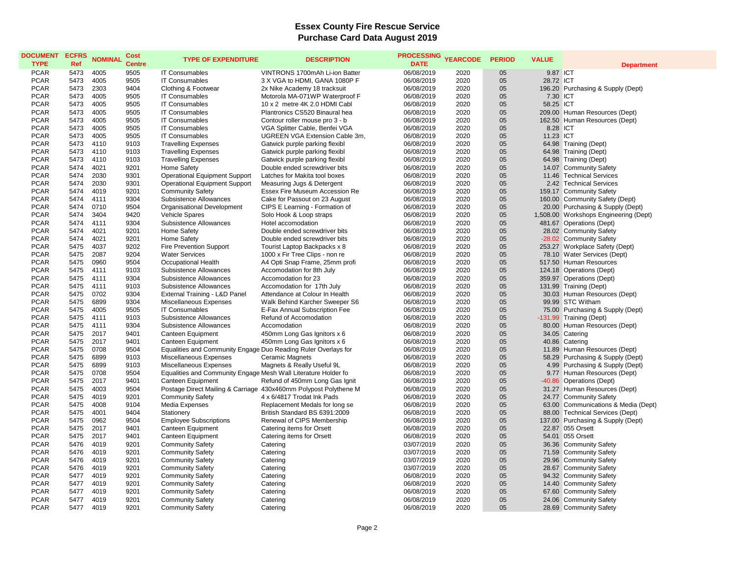## **Essex County Fire Rescue Service Purchase Card Data August 2019**

| <b>DOCUMENT</b><br><b>TYPE</b> | <b>ECFRS</b><br>Ref | <b>NOMINAL</b> | Cost<br><b>Centre</b> | <b>TYPE OF EXPENDITURE</b>                                     | <b>DESCRIPTION</b>                                               | PROCESSING YEARCODE<br><b>DATE</b> |              | <b>PERIOD</b> | <b>VALUE</b> | <b>Department</b>                                     |
|--------------------------------|---------------------|----------------|-----------------------|----------------------------------------------------------------|------------------------------------------------------------------|------------------------------------|--------------|---------------|--------------|-------------------------------------------------------|
| <b>PCAR</b>                    | 5473                | 4005           | 9505                  | <b>IT Consumables</b>                                          | VINTRONS 1700mAh Li-ion Batter                                   | 06/08/2019                         | 2020         | 05            | 9.87 ICT     |                                                       |
| <b>PCAR</b>                    | 5473                | 4005           | 9505                  | <b>IT Consumables</b>                                          | 3 X VGA to HDMI, GANA 1080P F                                    | 06/08/2019                         | 2020         | 05            | 28.72 ICT    |                                                       |
| <b>PCAR</b>                    | 5473                | 2303           | 9404                  | Clothing & Footwear                                            | 2x Nike Academy 18 tracksuit                                     | 06/08/2019                         | 2020         | 05            |              | 196.20 Purchasing & Supply (Dept)                     |
| <b>PCAR</b>                    | 5473                | 4005           | 9505                  | <b>IT Consumables</b>                                          | Motorola MA-071WP Waterproof F                                   | 06/08/2019                         | 2020         | 05            | 7.30 ICT     |                                                       |
| <b>PCAR</b>                    | 5473                | 4005           | 9505                  | <b>IT Consumables</b>                                          | 10 x 2 metre 4K 2.0 HDMI Cabl                                    | 06/08/2019                         | 2020         | 05            | 58.25 ICT    |                                                       |
| <b>PCAR</b>                    | 5473                | 4005           | 9505                  | <b>IT Consumables</b>                                          | Plantronics CS520 Binaural hea                                   | 06/08/2019                         | 2020         | 05            |              | 209.00 Human Resources (Dept)                         |
| <b>PCAR</b>                    | 5473                | 4005           | 9505                  | <b>IT Consumables</b>                                          | Contour roller mouse pro 3 - b                                   | 06/08/2019                         | 2020         | 05            |              | 162.50 Human Resources (Dept)                         |
| <b>PCAR</b>                    | 5473                | 4005           | 9505                  | <b>IT Consumables</b>                                          | VGA Splitter Cable, Benfei VGA                                   | 06/08/2019                         | 2020         | 05            | 8.28 ICT     |                                                       |
| <b>PCAR</b>                    | 5473                | 4005           | 9505                  | <b>IT Consumables</b>                                          | UGREEN VGA Extension Cable 3m,                                   | 06/08/2019                         | 2020         | 05            | 11.23 ICT    |                                                       |
| <b>PCAR</b>                    | 5473                | 4110           | 9103                  | <b>Travelling Expenses</b>                                     | Gatwick purple parking flexibl                                   | 06/08/2019                         | 2020         | 05            |              | 64.98 Training (Dept)                                 |
| <b>PCAR</b>                    | 5473                | 4110           | 9103                  | <b>Travelling Expenses</b>                                     | Gatwick purple parking flexibl                                   | 06/08/2019                         | 2020         | 05            |              | 64.98 Training (Dept)                                 |
| <b>PCAR</b>                    | 5473                | 4110           | 9103                  | <b>Travelling Expenses</b>                                     | Gatwick purple parking flexibl                                   | 06/08/2019                         | 2020         | 05            |              | 64.98 Training (Dept)                                 |
| <b>PCAR</b>                    | 5474                | 4021           | 9201                  | Home Safety                                                    | Double ended screwdriver bits                                    | 06/08/2019                         | 2020         | 05            |              | 14.07 Community Safety                                |
| <b>PCAR</b>                    | 5474                | 2030           | 9301                  | <b>Operational Equipment Support</b>                           | Latches for Makita tool boxes                                    | 06/08/2019                         | 2020         | 05            |              | 11.46 Technical Services                              |
| <b>PCAR</b>                    | 5474                | 2030           | 9301                  | <b>Operational Equipment Support</b>                           | Measuring Jugs & Detergent                                       | 06/08/2019                         | 2020         | 05            |              | 2.42 Technical Services                               |
| <b>PCAR</b>                    | 5474                | 4019           | 9201                  | <b>Community Safety</b>                                        | Essex Fire Museum Accession Re                                   | 06/08/2019                         | 2020         | 05            |              | 159.17 Community Safety                               |
| <b>PCAR</b>                    | 5474                | 4111           | 9304                  | Subsistence Allowances                                         | Cake for Passout on 23 August                                    | 06/08/2019                         | 2020         | 05            |              | 160.00 Community Safety (Dept)                        |
| <b>PCAR</b>                    | 5474                | 0710           | 9504                  | Organisational Development                                     | CIPS E Learning - Formation of                                   | 06/08/2019                         | 2020         | 05            |              | 20.00 Purchasing & Supply (Dept)                      |
| <b>PCAR</b>                    | 5474                | 3404           | 9420                  | Vehicle Spares                                                 | Solo Hook & Loop straps                                          | 06/08/2019                         | 2020         | 05            |              | 1,508.00 Workshops Engineering (Dept)                 |
| <b>PCAR</b>                    | 5474                | 4111           | 9304                  | Subsistence Allowances                                         | Hotel accomodation                                               | 06/08/2019                         | 2020         | 05            |              | 481.67 Operations (Dept)                              |
| <b>PCAR</b>                    | 5474                | 4021           | 9201                  | Home Safety                                                    | Double ended screwdriver bits                                    | 06/08/2019                         | 2020         | 05            |              | 28.02 Community Safety                                |
| <b>PCAR</b>                    | 5474                | 4021           | 9201                  | Home Safety                                                    | Double ended screwdriver bits                                    | 06/08/2019                         | 2020         | 05            |              | -28.02 Community Safety                               |
| <b>PCAR</b>                    | 5475                | 4037           | 9202                  | Fire Prevention Support                                        | Tourist Laptop Backpacks x 8                                     | 06/08/2019                         | 2020         | 05            |              | 253.27 Workplace Safety (Dept)                        |
| <b>PCAR</b>                    | 5475                | 2087           | 9204                  | <b>Water Services</b>                                          | 1000 x Fir Tree Clips - non re                                   | 06/08/2019                         | 2020         | 05            |              | 78.10 Water Services (Dept)                           |
| <b>PCAR</b>                    | 5475                | 0960           | 9504                  | Occupational Health                                            | A4 Opti Snap Frame, 25mm profi                                   | 06/08/2019                         | 2020         | 05            |              | 517.50 Human Resources                                |
| <b>PCAR</b>                    | 5475                | 4111           | 9103                  | Subsistence Allowances                                         | Accomodation for 8th July                                        | 06/08/2019                         | 2020         | 05            |              | 124.18 Operations (Dept)                              |
| <b>PCAR</b>                    | 5475                | 4111           | 9304                  | Subsistence Allowances                                         | Accomodation for 23                                              | 06/08/2019                         | 2020         | 05            |              | 359.97 Operations (Dept)                              |
| <b>PCAR</b>                    | 5475                | 4111           | 9103                  | Subsistence Allowances                                         | Accomodation for 17th July                                       | 06/08/2019                         | 2020         | 05            |              | 131.99 Training (Dept)                                |
| <b>PCAR</b>                    | 5475                | 0702           | 9304                  | External Training - L&D Panel                                  | Attendance at Colour In Health                                   | 06/08/2019                         | 2020         | 05            |              | 30.03 Human Resources (Dept)                          |
| <b>PCAR</b>                    | 5475                | 6899           | 9304                  | Miscellaneous Expenses                                         | Walk Behind Karcher Sweeper S6                                   | 06/08/2019                         | 2020         | 05            |              | 99.99 STC Witham                                      |
| <b>PCAR</b>                    | 5475                | 4005           | 9505                  | <b>IT Consumables</b>                                          | E-Fax Annual Subscription Fee                                    | 06/08/2019                         | 2020         | 05            |              | 75.00 Purchasing & Supply (Dept)                      |
| <b>PCAR</b>                    | 5475                | 4111           | 9103                  | Subsistence Allowances                                         | Refund of Accomodation                                           | 06/08/2019                         | 2020         | 05            |              | -131.99 Training (Dept)                               |
| <b>PCAR</b>                    | 5475                | 4111           | 9304                  | Subsistence Allowances                                         | Accomodation                                                     | 06/08/2019                         | 2020         | 05            |              | 80.00 Human Resources (Dept)                          |
| <b>PCAR</b>                    | 5475                | 2017           | 9401                  | <b>Canteen Equipment</b>                                       | 450mm Long Gas Ignitors x 6                                      | 06/08/2019                         | 2020         | 05            |              | 34.05 Catering                                        |
| <b>PCAR</b>                    | 5475                | 2017           | 9401                  | Canteen Equipment                                              | 450mm Long Gas Ignitors x 6                                      | 06/08/2019                         | 2020         | 05            |              | 40.86 Catering                                        |
| <b>PCAR</b>                    | 5475                | 0708           | 9504                  | Equalities and Community Engage Duo Reading Ruler Overlays for |                                                                  | 06/08/2019                         | 2020         | 05            |              | 11.89 Human Resources (Dept)                          |
| <b>PCAR</b>                    | 5475                | 6899           | 9103                  | Miscellaneous Expenses                                         | Ceramic Magnets                                                  | 06/08/2019                         | 2020         | 05            |              | 58.29 Purchasing & Supply (Dept)                      |
| <b>PCAR</b>                    | 5475                | 6899           | 9103                  | Miscellaneous Expenses                                         | Magnets & Really Useful 9L                                       | 06/08/2019                         | 2020         | 05            |              | 4.99 Purchasing & Supply (Dept)                       |
| <b>PCAR</b>                    | 5475                | 0708           | 9504                  | Equalities and Community Engage Mesh Wall Literature Holder fo |                                                                  | 06/08/2019                         | 2020         | 05            |              | 9.77 Human Resources (Dept)                           |
| <b>PCAR</b>                    | 5475                | 2017           | 9401                  | Canteen Equipment                                              | Refund of 450mm Long Gas Ignit                                   | 06/08/2019                         | 2020         | 05            |              | -40.86 Operations (Dept)                              |
| <b>PCAR</b>                    | 5475                | 4003           | 9504                  |                                                                | Postage Direct Mailing & Carriage 430x460mm Polypost Polythene M | 06/08/2019                         | 2020         | 05            |              | 31.27 Human Resources (Dept)                          |
| <b>PCAR</b><br><b>PCAR</b>     | 5475<br>5475        | 4019<br>4008   | 9201<br>9104          | <b>Community Safety</b>                                        | 4 x 6/4817 Trodat Ink Pads                                       | 06/08/2019                         | 2020         | 05<br>05      |              | 24.77 Community Safety                                |
| <b>PCAR</b>                    | 5475                | 4001           | 9404                  | Media Expenses<br>Stationery                                   | Replacement Medals for long se<br>British Standard BS 6391:2009  | 06/08/2019<br>06/08/2019           | 2020<br>2020 | 05            |              | 63.00 Communications & Media (Dept)                   |
| <b>PCAR</b>                    | 5475                | 0962           | 9504                  |                                                                | Renewal of CIPS Membership                                       |                                    | 2020         | 05            |              | 88.00 Technical Services (Dept)                       |
| <b>PCAR</b>                    | 5475                | 2017           | 9401                  | <b>Employee Subscriptions</b><br>Canteen Equipment             | Catering items for Orsett                                        | 06/08/2019<br>06/08/2019           | 2020         | 05            |              | 137.00 Purchasing & Supply (Dept)<br>22.87 055 Orsett |
| <b>PCAR</b>                    | 5475                | 2017           | 9401                  | Canteen Equipment                                              | Catering items for Orsett                                        | 06/08/2019                         | 2020         | 05            |              | 54.01 055 Orsett                                      |
| <b>PCAR</b>                    | 5476                | 4019           | 9201                  | <b>Community Safety</b>                                        | Catering                                                         | 03/07/2019                         | 2020         | 05            |              | 36.36 Community Safety                                |
| <b>PCAR</b>                    | 5476                | 4019           | 9201                  | <b>Community Safety</b>                                        | Catering                                                         | 03/07/2019                         | 2020         | 05            |              | 71.59 Community Safety                                |
| <b>PCAR</b>                    | 5476                | 4019           | 9201                  | <b>Community Safety</b>                                        | Catering                                                         | 03/07/2019                         | 2020         | 05            |              | 29.96 Community Safety                                |
| <b>PCAR</b>                    | 5476                | 4019           | 9201                  | <b>Community Safety</b>                                        | Catering                                                         | 03/07/2019                         | 2020         | 05            |              | 28.67 Community Safety                                |
| <b>PCAR</b>                    | 5477                | 4019           | 9201                  | <b>Community Safety</b>                                        | Catering                                                         | 06/08/2019                         | 2020         | 05            |              | 94.32 Community Safety                                |
| <b>PCAR</b>                    | 5477                | 4019           | 9201                  | <b>Community Safety</b>                                        | Catering                                                         | 06/08/2019                         | 2020         | 05            |              | 14.40 Community Safety                                |
| <b>PCAR</b>                    | 5477                | 4019           | 9201                  | <b>Community Safety</b>                                        | Catering                                                         | 06/08/2019                         | 2020         | 05            |              | 67.60 Community Safety                                |
| <b>PCAR</b>                    | 5477                | 4019           | 9201                  | <b>Community Safety</b>                                        | Catering                                                         | 06/08/2019                         | 2020         | 05            |              | 24.06 Community Safety                                |
| <b>PCAR</b>                    | 5477                | 4019           | 9201                  | <b>Community Safety</b>                                        | Catering                                                         | 06/08/2019                         | 2020         | 05            |              | 28.69 Community Safety                                |
|                                |                     |                |                       |                                                                |                                                                  |                                    |              |               |              |                                                       |